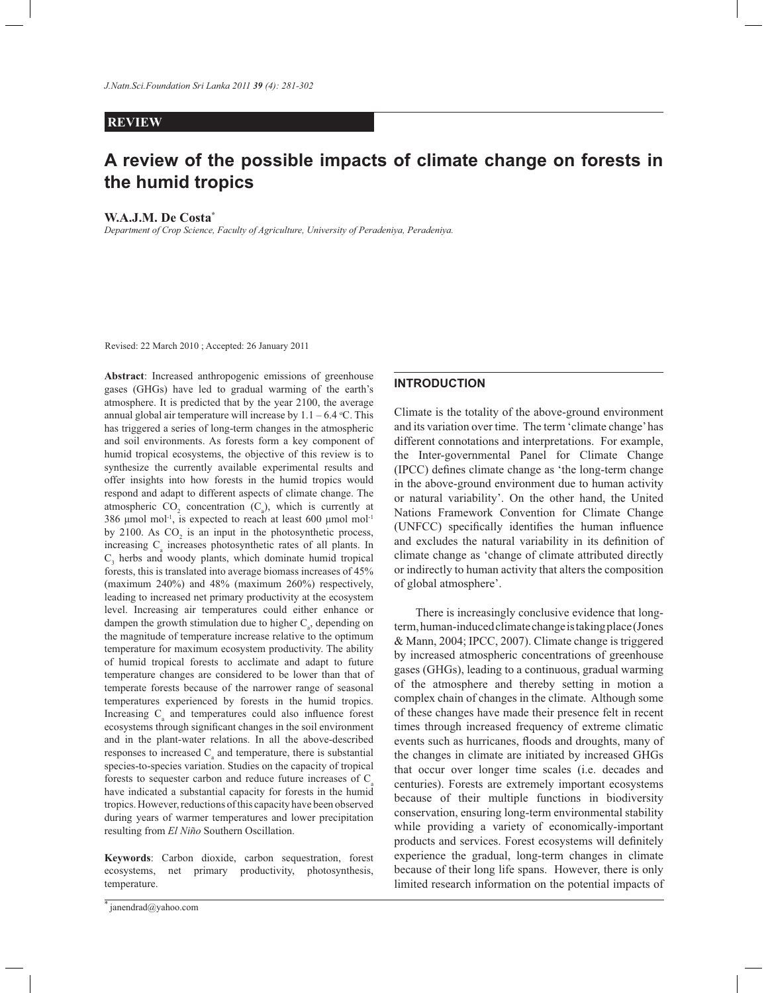# **REVIEW**

# **A review of the possible impacts of climate change on forests in the humid tropics**

#### **W.A.J.M. De Costa\***

*Department of Crop Science, Faculty of Agriculture, University of Peradeniya, Peradeniya.*

Revised: 22 March 2010 ; Accepted: 26 January 2011

**Abstract**: Increased anthropogenic emissions of greenhouse gases (GHGs) have led to gradual warming of the earth's atmosphere. It is predicted that by the year 2100, the average annual global air temperature will increase by  $1.1 - 6.4$  °C. This has triggered a series of long-term changes in the atmospheric and soil environments. As forests form a key component of humid tropical ecosystems, the objective of this review is to synthesize the currently available experimental results and offer insights into how forests in the humid tropics would respond and adapt to different aspects of climate change. The atmospheric  $CO_2$  concentration  $(C_a)$ , which is currently at 386 μmol mol<sup>-1</sup>, is expected to reach at least 600 μmol mol<sup>-1</sup> by 2100. As  $CO<sub>2</sub>$  is an input in the photosynthetic process, increasing  $C_{a}$  increases photosynthetic rates of all plants. In  $C_3$  herbs and woody plants, which dominate humid tropical forests, this is translated into average biomass increases of 45% (maximum 240%) and 48% (maximum 260%) respectively, leading to increased net primary productivity at the ecosystem level. Increasing air temperatures could either enhance or dampen the growth stimulation due to higher  $C_{a}$ , depending on the magnitude of temperature increase relative to the optimum temperature for maximum ecosystem productivity. The ability of humid tropical forests to acclimate and adapt to future temperature changes are considered to be lower than that of temperate forests because of the narrower range of seasonal temperatures experienced by forests in the humid tropics. Increasing C<sub>a</sub> and temperatures could also influence forest ecosystems through significant changes in the soil environment and in the plant-water relations. In all the above-described responses to increased  $C_{a}$  and temperature, there is substantial species-to-species variation. Studies on the capacity of tropical forests to sequester carbon and reduce future increases of  $C<sub>a</sub>$ have indicated a substantial capacity for forests in the humid tropics. However, reductions of this capacity have been observed during years of warmer temperatures and lower precipitation resulting from *El Niño* Southern Oscillation.

**Keywords**: Carbon dioxide, carbon sequestration, forest ecosystems, net primary productivity, photosynthesis, temperature.

#### **INTRODUCTION**

Climate is the totality of the above-ground environment and its variation over time. The term 'climate change' has different connotations and interpretations. For example, the Inter-governmental Panel for Climate Change (IPCC) defines climate change as 'the long-term change in the above-ground environment due to human activity or natural variability'. On the other hand, the United Nations Framework Convention for Climate Change (UNFCC) specifically identifies the human influence and excludes the natural variability in its definition of climate change as 'change of climate attributed directly or indirectly to human activity that alters the composition of global atmosphere'.

 There is increasingly conclusive evidence that longterm, human-induced climate change is taking place (Jones & Mann, 2004; IPCC, 2007). Climate change is triggered by increased atmospheric concentrations of greenhouse gases (GHGs), leading to a continuous, gradual warming of the atmosphere and thereby setting in motion a complex chain of changes in the climate. Although some of these changes have made their presence felt in recent times through increased frequency of extreme climatic events such as hurricanes, floods and droughts, many of the changes in climate are initiated by increased GHGs that occur over longer time scales (i.e. decades and centuries). Forests are extremely important ecosystems because of their multiple functions in biodiversity conservation, ensuring long-term environmental stability while providing a variety of economically-important products and services. Forest ecosystems will definitely experience the gradual, long-term changes in climate because of their long life spans. However, there is only limited research information on the potential impacts of

<sup>\*</sup> janendrad@yahoo.com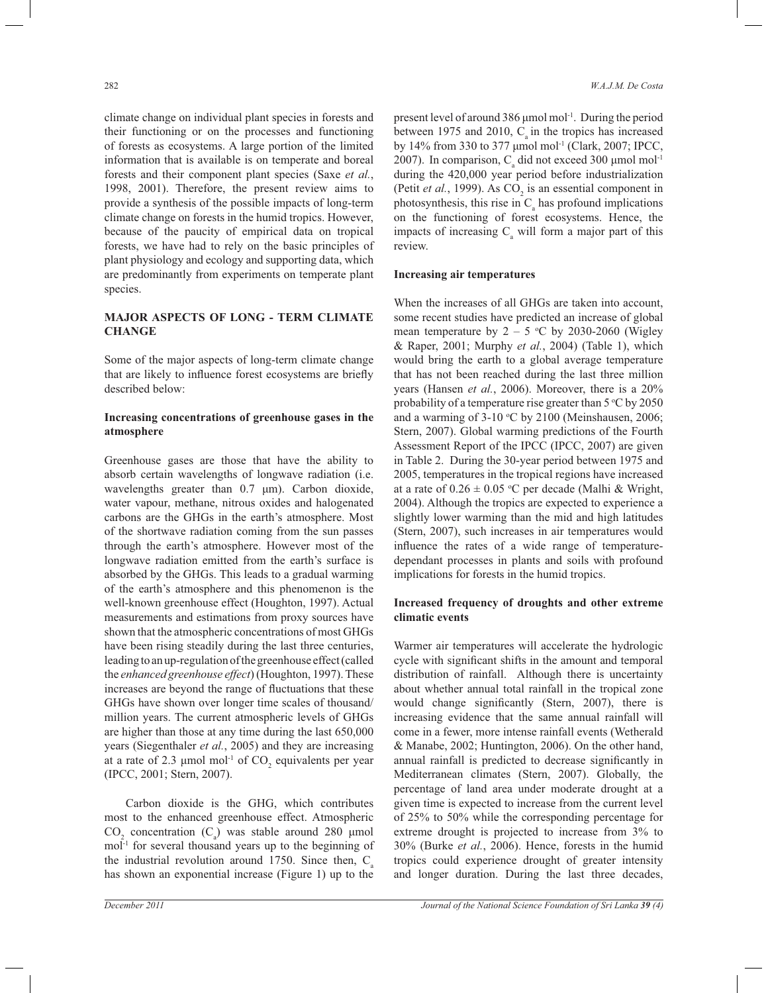climate change on individual plant species in forests and their functioning or on the processes and functioning of forests as ecosystems. A large portion of the limited information that is available is on temperate and boreal forests and their component plant species (Saxe *et al.*, 1998, 2001). Therefore, the present review aims to provide a synthesis of the possible impacts of long-term climate change on forests in the humid tropics. However, because of the paucity of empirical data on tropical forests, we have had to rely on the basic principles of plant physiology and ecology and supporting data, which are predominantly from experiments on temperate plant species.

# **MAJOR ASPECTS OF LONG - TERM CLIMATE CHANGE**

Some of the major aspects of long-term climate change that are likely to influence forest ecosystems are briefly described below:

# **Increasing concentrations of greenhouse gases in the atmosphere**

Greenhouse gases are those that have the ability to absorb certain wavelengths of longwave radiation (i.e. wavelengths greater than 0.7 μm). Carbon dioxide, water vapour, methane, nitrous oxides and halogenated carbons are the GHGs in the earth's atmosphere. Most of the shortwave radiation coming from the sun passes through the earth's atmosphere. However most of the longwave radiation emitted from the earth's surface is absorbed by the GHGs. This leads to a gradual warming of the earth's atmosphere and this phenomenon is the well-known greenhouse effect (Houghton, 1997). Actual measurements and estimations from proxy sources have shown that the atmospheric concentrations of most GHGs have been rising steadily during the last three centuries, leading to an up-regulation of the greenhouse effect (called the *enhanced greenhouse effect*) (Houghton, 1997). These increases are beyond the range of fluctuations that these GHGs have shown over longer time scales of thousand/ million years. The current atmospheric levels of GHGs are higher than those at any time during the last 650,000 years (Siegenthaler *et al.*, 2005) and they are increasing at a rate of 2.3  $\mu$ mol mol<sup>-1</sup> of CO<sub>2</sub> equivalents per year (IPCC, 2001; Stern, 2007).

 Carbon dioxide is the GHG, which contributes most to the enhanced greenhouse effect. Atmospheric  $CO<sub>2</sub>$  concentration (C<sub>a</sub>) was stable around 280 µmol mol-1 for several thousand years up to the beginning of the industrial revolution around 1750. Since then,  $C_a$ has shown an exponential increase (Figure 1) up to the

present level of around 386 μmol mol-1. During the period between 1975 and 2010,  $C_{\rm a}$  in the tropics has increased by 14% from 330 to 377 μmol mol-1 (Clark, 2007; IPCC, 2007). In comparison,  $C_a$  did not exceed 300  $\mu$ mol mol<sup>-1</sup> during the 420,000 year period before industrialization (Petit *et al.*, 1999). As  $CO_2$  is an essential component in photosynthesis, this rise in  $C_{a}$  has profound implications on the functioning of forest ecosystems. Hence, the impacts of increasing  $C_{\rm a}$  will form a major part of this review.

### **Increasing air temperatures**

When the increases of all GHGs are taken into account, some recent studies have predicted an increase of global mean temperature by  $2 - 5$  °C by 2030-2060 (Wigley & Raper, 2001; Murphy *et al.*, 2004) (Table 1), which would bring the earth to a global average temperature that has not been reached during the last three million years (Hansen *et al.*, 2006). Moreover, there is a 20% probability of a temperature rise greater than  $5^{\circ}$ C by 2050 and a warming of  $3-10$  °C by 2100 (Meinshausen, 2006; Stern, 2007). Global warming predictions of the Fourth Assessment Report of the IPCC (IPCC, 2007) are given in Table 2. During the 30-year period between 1975 and 2005, temperatures in the tropical regions have increased at a rate of  $0.26 \pm 0.05$  °C per decade (Malhi & Wright, 2004). Although the tropics are expected to experience a slightly lower warming than the mid and high latitudes (Stern, 2007), such increases in air temperatures would influence the rates of a wide range of temperaturedependant processes in plants and soils with profound implications for forests in the humid tropics.

# **Increased frequency of droughts and other extreme climatic events**

Warmer air temperatures will accelerate the hydrologic cycle with significant shifts in the amount and temporal distribution of rainfall. Although there is uncertainty about whether annual total rainfall in the tropical zone would change significantly (Stern, 2007), there is increasing evidence that the same annual rainfall will come in a fewer, more intense rainfall events (Wetherald & Manabe, 2002; Huntington, 2006). On the other hand, annual rainfall is predicted to decrease significantly in Mediterranean climates (Stern, 2007). Globally, the percentage of land area under moderate drought at a given time is expected to increase from the current level of 25% to 50% while the corresponding percentage for extreme drought is projected to increase from 3% to 30% (Burke *et al.*, 2006). Hence, forests in the humid tropics could experience drought of greater intensity and longer duration. During the last three decades,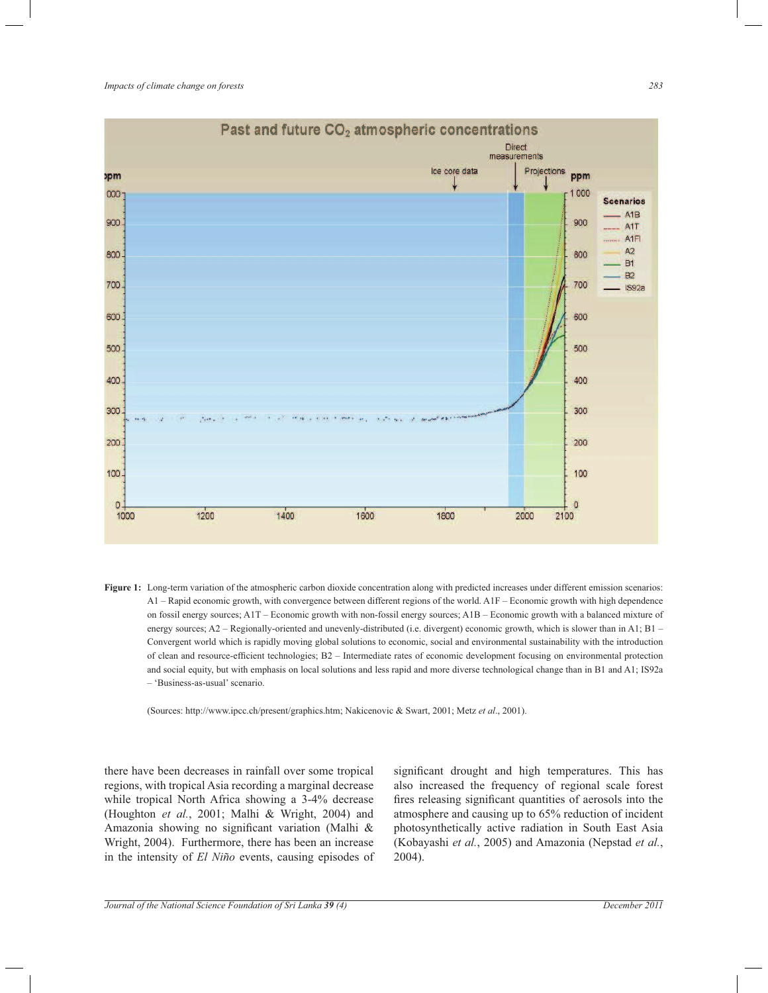

**Figure 1:** Long-term variation of the atmospheric carbon dioxide concentration along with predicted increases under different emission scenarios: A1 – Rapid economic growth, with convergence between different regions of the world. A1F – Economic growth with high dependence on fossil energy sources; A1T – Economic growth with non-fossil energy sources; A1B – Economic growth with a balanced mixture of energy sources; A2 – Regionally-oriented and unevenly-distributed (i.e. divergent) economic growth, which is slower than in A1; B1 – Convergent world which is rapidly moving global solutions to economic, social and environmental sustainability with the introduction of clean and resource-efficient technologies; B2 – Intermediate rates of economic development focusing on environmental protection and social equity, but with emphasis on local solutions and less rapid and more diverse technological change than in B1 and A1; IS92a – 'Business-as-usual' scenario.

(Sources: http://www.ipcc.ch/present/graphics.htm; Nakicenovic & Swart, 2001; Metz *et al*., 2001).

there have been decreases in rainfall over some tropical regions, with tropical Asia recording a marginal decrease while tropical North Africa showing a 3-4% decrease (Houghton *et al.*, 2001; Malhi & Wright, 2004) and Amazonia showing no significant variation (Malhi & Wright, 2004). Furthermore, there has been an increase in the intensity of *El Niño* events, causing episodes of significant drought and high temperatures. This has also increased the frequency of regional scale forest fires releasing significant quantities of aerosols into the atmosphere and causing up to 65% reduction of incident photosynthetically active radiation in South East Asia (Kobayashi *et al.*, 2005) and Amazonia (Nepstad *et al.*, 2004).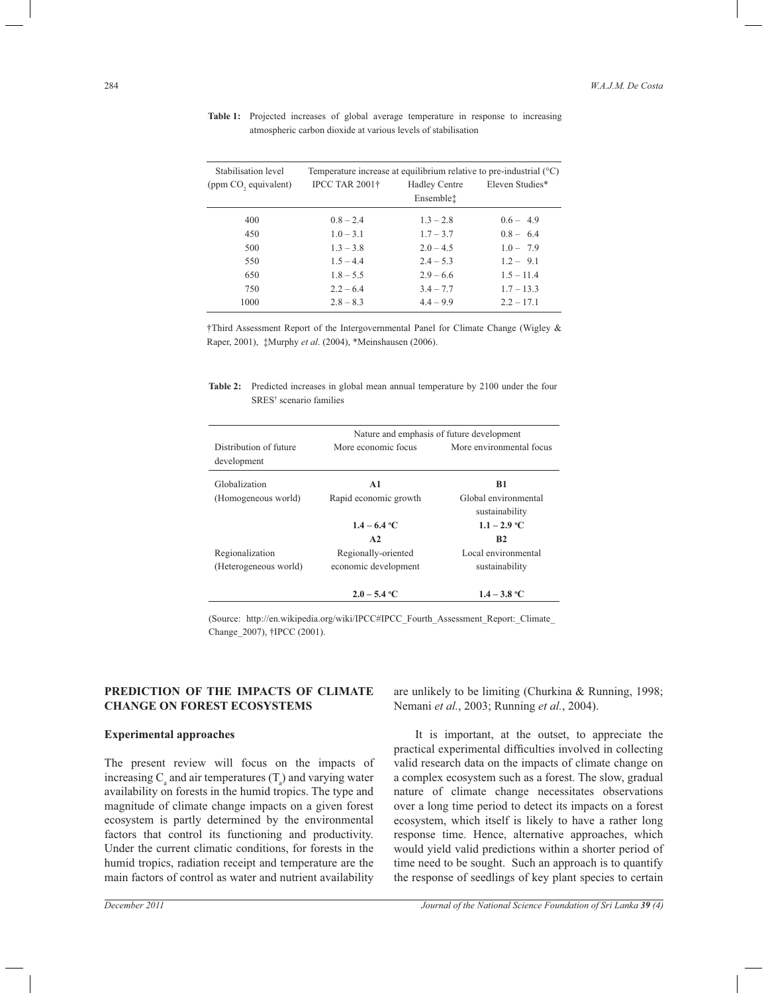| Stabilisation level  | Temperature increase at equilibrium relative to pre-industrial $(^{\circ}C)$ |                                   |                 |  |  |
|----------------------|------------------------------------------------------------------------------|-----------------------------------|-----------------|--|--|
| (ppm CO, equivalent) | <b>IPCC TAR 2001†</b>                                                        | <b>Hadley Centre</b><br>Ensemblet | Eleven Studies* |  |  |
| 400                  | $0.8 - 2.4$                                                                  | $1.3 - 2.8$                       | $0.6 - 4.9$     |  |  |
| 450                  | $1.0 - 3.1$                                                                  | $1.7 - 3.7$                       | $0.8 - 6.4$     |  |  |
| 500                  | $1.3 - 3.8$                                                                  | $2.0 - 4.5$                       | $1.0 - 7.9$     |  |  |
| 550                  | $1.5 - 4.4$                                                                  | $2.4 - 5.3$                       | $1.2 - 9.1$     |  |  |
| 650                  | $1.8 - 5.5$                                                                  | $2.9 - 6.6$                       | $1.5 - 11.4$    |  |  |
| 750                  | $2.2 - 6.4$                                                                  | $3.4 - 7.7$                       | $1.7 - 13.3$    |  |  |
| 1000                 | $2.8 - 8.3$                                                                  | $4.4 - 9.9$                       | $2.2 - 17.1$    |  |  |

**Table 1:** Projected increases of global average temperature in response to increasing atmospheric carbon dioxide at various levels of stabilisation

†Third Assessment Report of the Intergovernmental Panel for Climate Change (Wigley & Raper, 2001), ‡Murphy *et al*. (2004), \*Meinshausen (2006).

**Table 2:** Predicted increases in global mean annual temperature by 2100 under the four SRES† scenario families

|                                       | Nature and emphasis of future development |                                        |  |  |
|---------------------------------------|-------------------------------------------|----------------------------------------|--|--|
| Distribution of future<br>development | More economic focus                       | More environmental focus               |  |  |
| Globalization                         | A1                                        | B1                                     |  |  |
| (Homogeneous world)                   | Rapid economic growth                     | Global environmental<br>sustainability |  |  |
|                                       | $1.4 - 6.4$ °C                            | $1.1 - 2.9$ °C                         |  |  |
|                                       | A2                                        | B <sub>2</sub>                         |  |  |
| Regionalization                       | Regionally-oriented                       | Local environmental                    |  |  |
| (Heterogeneous world)                 | economic development                      | sustainability                         |  |  |
|                                       | $2.0 - 5.4$ °C                            | $1.4 - 3.8$ °C                         |  |  |

(Source: http://en.wikipedia.org/wiki/IPCC#IPCC\_Fourth\_Assessment\_Report:\_Climate\_ Change\_2007), †IPCC (2001).

# **PREDICTION OF THE IMPACTS OF CLIMATE CHANGE ON FOREST ECOSYSTEMS**

#### **Experimental approaches**

The present review will focus on the impacts of increasing  $C_{\rm a}$  and air temperatures  $(T_{\rm a})$  and varying water availability on forests in the humid tropics. The type and magnitude of climate change impacts on a given forest ecosystem is partly determined by the environmental factors that control its functioning and productivity. Under the current climatic conditions, for forests in the humid tropics, radiation receipt and temperature are the main factors of control as water and nutrient availability

are unlikely to be limiting (Churkina & Running, 1998; Nemani *et al.*, 2003; Running *et al.*, 2004).

 It is important, at the outset, to appreciate the practical experimental difficulties involved in collecting valid research data on the impacts of climate change on a complex ecosystem such as a forest. The slow, gradual nature of climate change necessitates observations over a long time period to detect its impacts on a forest ecosystem, which itself is likely to have a rather long response time. Hence, alternative approaches, which would yield valid predictions within a shorter period of time need to be sought. Such an approach is to quantify the response of seedlings of key plant species to certain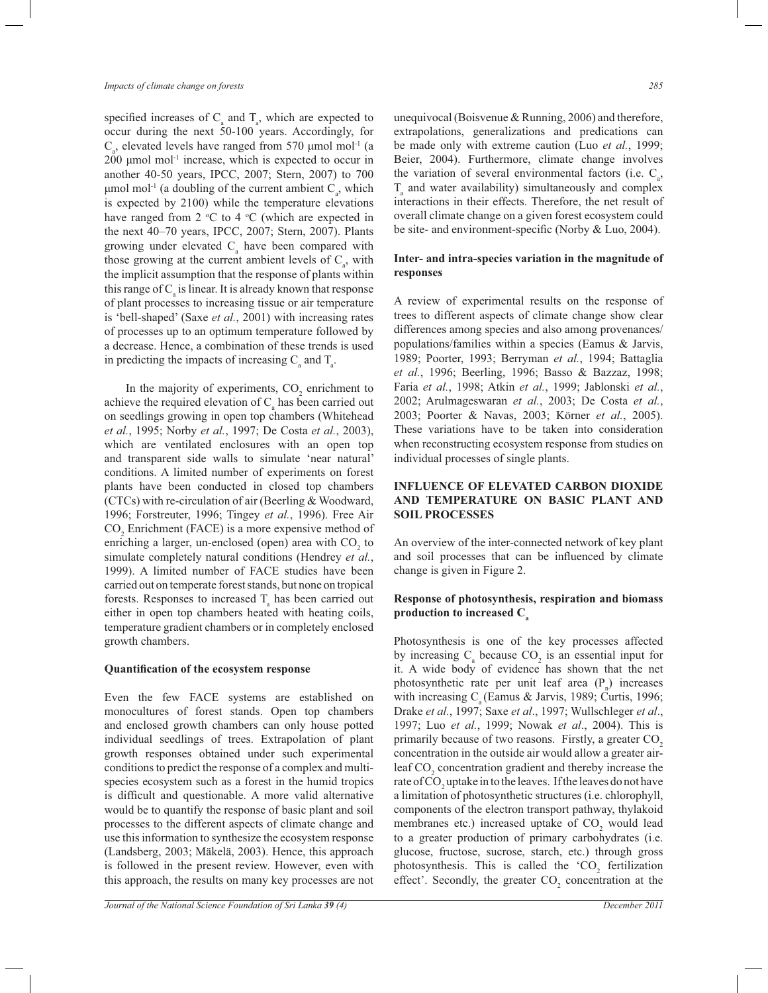specified increases of  $C_a$  and  $T_a$ , which are expected to occur during the next 50-100 years. Accordingly, for  $C_a$ , elevated levels have ranged from 570 µmol mol<sup>-1</sup> (a  $200 \mu$ mol mol<sup>-1</sup> increase, which is expected to occur in another 40-50 years, IPCC, 2007; Stern, 2007) to 700  $μ$ mol mol<sup>-1</sup> (a doubling of the current ambient C<sub>a</sub>, which is expected by 2100) while the temperature elevations have ranged from 2  $\degree$ C to 4  $\degree$ C (which are expected in the next 40–70 years, IPCC, 2007; Stern, 2007). Plants growing under elevated  $C_{a}$  have been compared with those growing at the current ambient levels of  $C_{a}$ , with the implicit assumption that the response of plants within this range of  $C_{\rm a}$  is linear. It is already known that response of plant processes to increasing tissue or air temperature is 'bell-shaped' (Saxe *et al.*, 2001) with increasing rates of processes up to an optimum temperature followed by a decrease. Hence, a combination of these trends is used in predicting the impacts of increasing  $C_{a}$  and  $T_{a}$ .

In the majority of experiments,  $CO<sub>2</sub>$  enrichment to achieve the required elevation of  $C_a$  has been carried out on seedlings growing in open top chambers (Whitehead *et al.*, 1995; Norby *et al.*, 1997; De Costa *et al.*, 2003), which are ventilated enclosures with an open top and transparent side walls to simulate 'near natural' conditions. A limited number of experiments on forest plants have been conducted in closed top chambers (CTCs) with re-circulation of air (Beerling & Woodward, 1996; Forstreuter, 1996; Tingey *et al.*, 1996). Free Air  $CO<sub>2</sub>$  Enrichment (FACE) is a more expensive method of enriching a larger, un-enclosed (open) area with  $CO<sub>2</sub>$  to simulate completely natural conditions (Hendrey *et al.*, 1999). A limited number of FACE studies have been carried out on temperate forest stands, but none on tropical forests. Responses to increased  $T_a$  has been carried out either in open top chambers heated with heating coils, temperature gradient chambers or in completely enclosed growth chambers.

#### **Quantification of the ecosystem response**

Even the few FACE systems are established on monocultures of forest stands. Open top chambers and enclosed growth chambers can only house potted individual seedlings of trees. Extrapolation of plant growth responses obtained under such experimental conditions to predict the response of a complex and multispecies ecosystem such as a forest in the humid tropics is difficult and questionable. A more valid alternative would be to quantify the response of basic plant and soil processes to the different aspects of climate change and use this information to synthesize the ecosystem response (Landsberg, 2003; Mäkelä, 2003). Hence, this approach is followed in the present review. However, even with this approach, the results on many key processes are not unequivocal (Boisvenue & Running, 2006) and therefore, extrapolations, generalizations and predications can be made only with extreme caution (Luo *et al.*, 1999; Beier, 2004). Furthermore, climate change involves the variation of several environmental factors (i.e.  $C_{a}$ ,  $T_{\rm a}$  and water availability) simultaneously and complex interactions in their effects. Therefore, the net result of overall climate change on a given forest ecosystem could be site- and environment-specific (Norby & Luo, 2004).

# **Inter- and intra-species variation in the magnitude of responses**

A review of experimental results on the response of trees to different aspects of climate change show clear differences among species and also among provenances/ populations/families within a species (Eamus & Jarvis, 1989; Poorter, 1993; Berryman *et al.*, 1994; Battaglia *et al.*, 1996; Beerling, 1996; Basso & Bazzaz, 1998; Faria *et al.*, 1998; Atkin *et al.*, 1999; Jablonski *et al.*, 2002; Arulmageswaran *et al.*, 2003; De Costa *et al.*, 2003; Poorter & Navas, 2003; Körner *et al.*, 2005). These variations have to be taken into consideration when reconstructing ecosystem response from studies on individual processes of single plants.

# **INFLUENCE OF ELEVATED CARBON DIOXIDE AND TEMPERATURE ON BASIC PLANT AND SOIL PROCESSES**

An overview of the inter-connected network of key plant and soil processes that can be influenced by climate change is given in Figure 2.

# **Response of photosynthesis, respiration and biomass production to increased C<sup>a</sup>**

Photosynthesis is one of the key processes affected by increasing  $C_{\text{a}}$  because  $CO_{2}$  is an essential input for it. A wide body of evidence has shown that the net photosynthetic rate per unit leaf area  $(P_n)$  increases with increasing  $C_a$  (Eamus & Jarvis, 1989; Curtis, 1996; Drake *et al.*, 1997; Saxe *et al*., 1997; Wullschleger *et al*., 1997; Luo *et al.*, 1999; Nowak *et al*., 2004). This is primarily because of two reasons. Firstly, a greater CO<sub>2</sub> concentration in the outside air would allow a greater airleaf CO<sub>2</sub> concentration gradient and thereby increase the rate of  $\mathrm{CO}_2$  uptake in to the leaves. If the leaves do not have a limitation of photosynthetic structures (i.e. chlorophyll, components of the electron transport pathway, thylakoid membranes etc.) increased uptake of  $CO<sub>2</sub>$  would lead to a greater production of primary carbohydrates (i.e. glucose, fructose, sucrose, starch, etc.) through gross photosynthesis. This is called the 'CO<sub>2</sub> fertilization effect'. Secondly, the greater  $CO_2$  concentration at the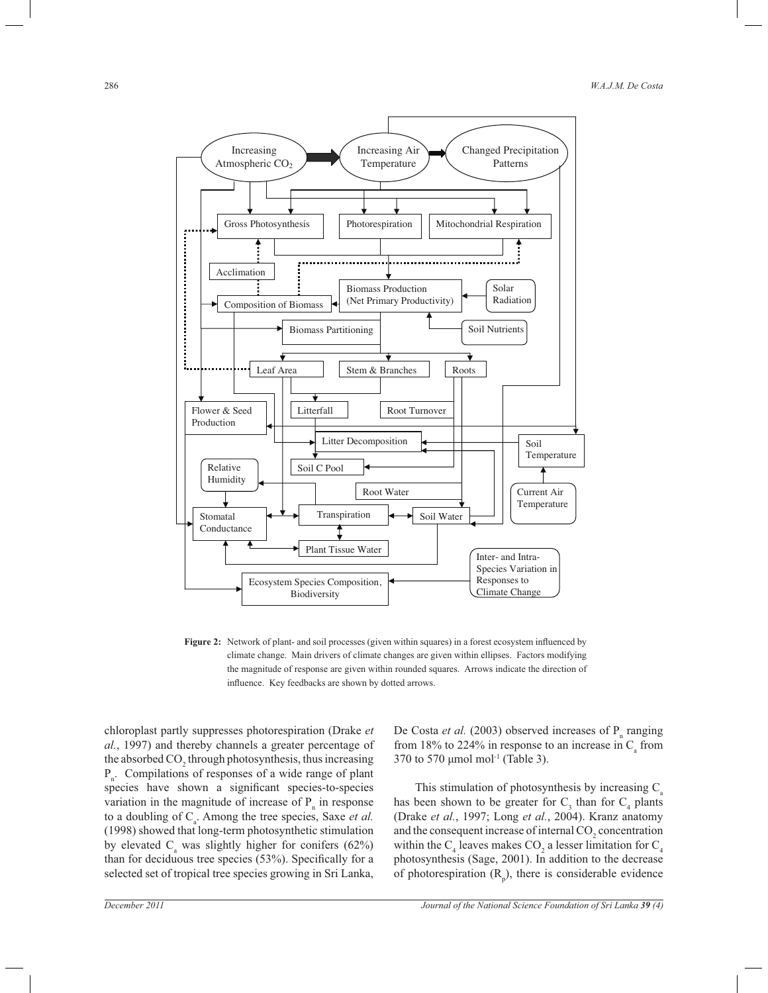

**Figure 2:** Network of plant- and soil processes (given within squares) in a forest ecosystem influenced by climate change. Main drivers of climate changes are given within ellipses. Factors modifying the magnitude of response are given within rounded squares. Arrows indicate the direction of influence. Key feedbacks are shown by dotted arrows.

chloroplast partly suppresses photorespiration (Drake *et al.*, 1997) and thereby channels a greater percentage of the absorbed  $\mathrm{CO}_2$  through photosynthesis, thus increasing Pn . Compilations of responses of a wide range of plant species have shown a significant species-to-species variation in the magnitude of increase of  $P_n$  in response to a doubling of  $C_a$ . Among the tree species, Saxe *et al.* (1998) showed that long-term photosynthetic stimulation by elevated  $C_{\rm a}$  was slightly higher for conifers (62%) than for deciduous tree species (53%). Specifically for a selected set of tropical tree species growing in Sri Lanka,

De Costa *et al.* (2003) observed increases of  $P_n$  ranging from 18% to 224% in response to an increase in  $C_{\text{a}}$  from 370 to 570 μmol mol-1 (Table 3).

This stimulation of photosynthesis by increasing  $C_a$ has been shown to be greater for  $C_3$  than for  $C_4$  plants (Drake *et al.*, 1997; Long *et al.*, 2004). Kranz anatomy and the consequent increase of internal  $\mathrm{CO}_2$  concentration within the  $C_4$  leaves makes  $CO_2$  a lesser limitation for  $C_4$ photosynthesis (Sage, 2001). In addition to the decrease of photorespiration  $(R_p)$ , there is considerable evidence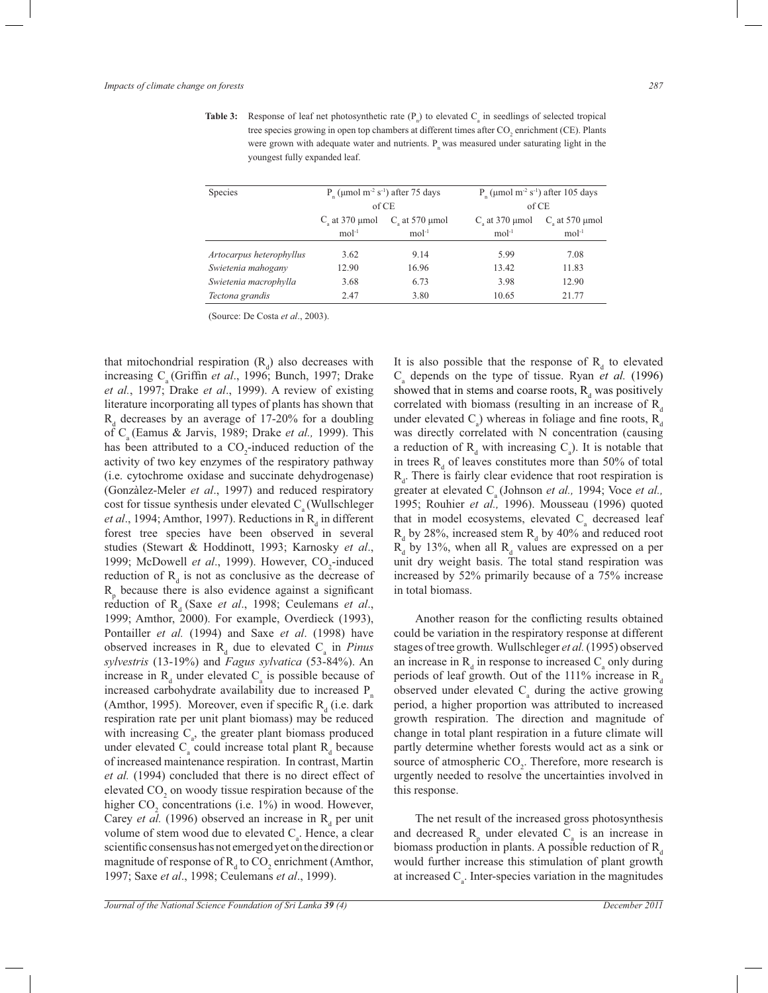**Table 3:** Response of leaf net photosynthetic rate  $(P_n)$  to elevated  $C_a$  in seedlings of selected tropical tree species growing in open top chambers at different times after  $\mathrm{CO}_2$  enrichment (CE). Plants were grown with adequate water and nutrients.  $P_n$  was measured under saturating light in the youngest fully expanded leaf.

| P ( $\mu$ mol m <sup>-2</sup> s <sup>-1</sup> ) after 75 days<br>of CE |                    |                    | P ( $\mu$ mol m <sup>-2</sup> s <sup>-1</sup> ) after 105 days |  |
|------------------------------------------------------------------------|--------------------|--------------------|----------------------------------------------------------------|--|
|                                                                        |                    | of CE              |                                                                |  |
| C at 370 $\mu$ mol                                                     | C at 570 $\mu$ mol | C at $370 \mu$ mol | C at 570 $\mu$ mol                                             |  |
| $mol-1$                                                                | $mol-1$            | $mol-1$            | $mol-1$                                                        |  |
| 3.62                                                                   | 9.14               | 5.99               | 7.08                                                           |  |
| 12.90                                                                  | 16.96              | 13.42              | 11.83                                                          |  |
| 3.68                                                                   | 6.73               | 3.98               | 12.90                                                          |  |
| 2.47                                                                   | 3.80               | 10.65              | 21.77                                                          |  |
|                                                                        |                    |                    |                                                                |  |

(Source: De Costa *et al*., 2003).

that mitochondrial respiration  $(R_d)$  also decreases with increasing C<sub>a</sub> (Griffin *et al.*, 1996; Bunch, 1997; Drake *et al.*, 1997; Drake *et al*., 1999). A review of existing literature incorporating all types of plants has shown that  $R_d$  decreases by an average of 17-20% for a doubling of C<sub>a</sub> (Eamus & Jarvis, 1989; Drake *et al.*, 1999). This has been attributed to a  $CO_2$ -induced reduction of the activity of two key enzymes of the respiratory pathway (i.e. cytochrome oxidase and succinate dehydrogenase) (Gonzàlez-Meler *et al*., 1997) and reduced respiratory cost for tissue synthesis under elevated  $C_a$  (Wullschleger *et al.*, 1994; Amthor, 1997). Reductions in  $R_d$  in different forest tree species have been observed in several studies (Stewart & Hoddinott, 1993; Karnosky *et al*., 1999; McDowell et al., 1999). However, CO<sub>2</sub>-induced reduction of  $R_d$  is not as conclusive as the decrease of  $R$ <sub>p</sub> because there is also evidence against a significant reduction of R<sub>d</sub> (Saxe *et al.*, 1998; Ceulemans *et al.*, 1999; Amthor, 2000). For example, Overdieck (1993), Pontailler *et al.* (1994) and Saxe *et al*. (1998) have observed increases in  $R_d$  due to elevated  $C_a$  in *Pinus sylvestris* (13-19%) and *Fagus sylvatica* (53-84%). An increase in  $R_d$  under elevated  $C_a$  is possible because of increased carbohydrate availability due to increased  $P_n$ (Amthor, 1995). Moreover, even if specific  $R_d$  (i.e. dark respiration rate per unit plant biomass) may be reduced with increasing  $C_a$ , the greater plant biomass produced under elevated  $C_{\text{a}}$  could increase total plant  $R_{\text{d}}$  because of increased maintenance respiration. In contrast, Martin *et al.* (1994) concluded that there is no direct effect of elevated  $CO<sub>2</sub>$  on woody tissue respiration because of the higher  $CO_2$  concentrations (i.e. 1%) in wood. However, Carey *et al.* (1996) observed an increase in  $R_d$  per unit volume of stem wood due to elevated  $C_{a}$ . Hence, a clear scientific consensus has not emerged yet on the direction or magnitude of response of  $R_d$  to  $CO_2$  enrichment (Amthor, 1997; Saxe *et al*., 1998; Ceulemans *et al*., 1999).

It is also possible that the response of  $R_d$  to elevated  $C_a$  depends on the type of tissue. Ryan *et al.* (1996) showed that in stems and coarse roots,  $R_d$  was positively correlated with biomass (resulting in an increase of  $R_d$ under elevated  $C_a$ ) whereas in foliage and fine roots,  $R_d$ was directly correlated with N concentration (causing a reduction of  $R_d$  with increasing  $C_a$ ). It is notable that in trees  $R_d$  of leaves constitutes more than 50% of total  $R_d$ . There is fairly clear evidence that root respiration is greater at elevated C<sub>a</sub> (Johnson *et al.*, 1994; Voce *et al.*, 1995; Rouhier *et al.,* 1996). Mousseau (1996) quoted that in model ecosystems, elevated  $C<sub>a</sub>$  decreased leaf  $R_d$  by 28%, increased stem  $R_d$  by 40% and reduced root  $R_d$  by 13%, when all  $R_d$  values are expressed on a per unit dry weight basis. The total stand respiration was increased by 52% primarily because of a 75% increase in total biomass.

 Another reason for the conflicting results obtained could be variation in the respiratory response at different stages of tree growth. Wullschleger *et al.* (1995) observed an increase in  $R_d$  in response to increased  $C_a$  only during periods of leaf growth. Out of the 111% increase in  $R_d$ observed under elevated  $C_{\text{a}}$  during the active growing period, a higher proportion was attributed to increased growth respiration. The direction and magnitude of change in total plant respiration in a future climate will partly determine whether forests would act as a sink or source of atmospheric  $CO<sub>2</sub>$ . Therefore, more research is urgently needed to resolve the uncertainties involved in this response.

 The net result of the increased gross photosynthesis and decreased  $R_p$  under elevated  $C_a$  is an increase in biomass production in plants. A possible reduction of  $R_d$ would further increase this stimulation of plant growth at increased  $C_a$ . Inter-species variation in the magnitudes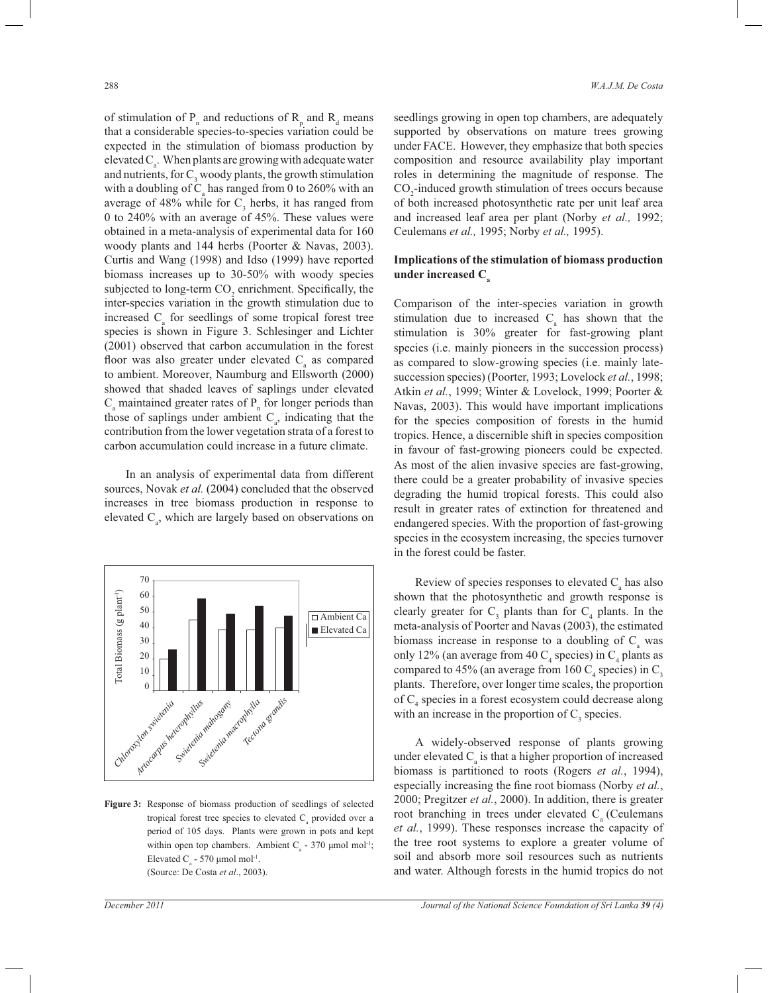of stimulation of  $P_n$  and reductions of  $R_p$  and  $R_d$  means that a considerable species-to-species variation could be expected in the stimulation of biomass production by elevated  $C_{\rm a}$ . When plants are growing with adequate water and nutrients, for  $C_3$  woody plants, the growth stimulation with a doubling of  $C_a$  has ranged from 0 to 260% with an average of 48% while for  $C_3$  herbs, it has ranged from 0 to 240% with an average of 45%. These values were obtained in a meta-analysis of experimental data for 160 woody plants and 144 herbs (Poorter & Navas, 2003). Curtis and Wang (1998) and Idso (1999) have reported biomass increases up to 30-50% with woody species subjected to long-term  $CO_2$  enrichment. Specifically, the inter-species variation in the growth stimulation due to increased  $C_{a}$  for seedlings of some tropical forest tree species is shown in Figure 3. Schlesinger and Lichter (2001) observed that carbon accumulation in the forest floor was also greater under elevated  $C_{\rm a}$  as compared to ambient. Moreover, Naumburg and Ellsworth (2000) showed that shaded leaves of saplings under elevated  $C_{\rm a}$  maintained greater rates of  $P_{\rm n}$  for longer periods than those of saplings under ambient  $C_{\alpha}$ , indicating that the contribution from the lower vegetation strata of a forest to carbon accumulation could increase in a future climate.

In an analysis of experimental data from different sources, Novak et al. (2004) concluded that the observed increases in tree biomass production in response to elevated  $C_a$ , which are largely based on observations on



**Figure 3:** Response of biomass production of seedlings of selected tropical forest tree species to elevated  $C_{\alpha}$  provided over a period of 105 days. Plants were grown in pots and kept within open top chambers. Ambient  $C_a$  - 370 µmol mol<sup>-1</sup>; Elevated  $C_a$  - 570 µmol mol<sup>-1</sup>. (Source: De Costa *et al*., 2003).

seedlings growing in open top chambers, are adequately supported by observations on mature trees growing under FACE. However, they emphasize that both species composition and resource availability play important roles in determining the magnitude of response. The  $CO<sub>2</sub>$ -induced growth stimulation of trees occurs because of both increased photosynthetic rate per unit leaf area and increased leaf area per plant (Norby *et al.,* 1992; Ceulemans *et al.,* 1995; Norby *et al.,* 1995).

# **Implications of the stimulation of biomass production under increased C<sup>a</sup>**

Comparison of the inter-species variation in growth stimulation due to increased  $C_a$  has shown that the stimulation is 30% greater for fast-growing plant species (i.e. mainly pioneers in the succession process) as compared to slow-growing species (i.e. mainly latesuccession species) (Poorter, 1993; Lovelock *et al.*, 1998; Atkin *et al.*, 1999; Winter & Lovelock, 1999; Poorter & Navas, 2003). This would have important implications for the species composition of forests in the humid tropics. Hence, a discernible shift in species composition in favour of fast-growing pioneers could be expected. As most of the alien invasive species are fast-growing, there could be a greater probability of invasive species degrading the humid tropical forests. This could also result in greater rates of extinction for threatened and endangered species. With the proportion of fast-growing species in the ecosystem increasing, the species turnover in the forest could be faster.

Review of species responses to elevated  $C_{a}$  has also shown that the photosynthetic and growth response is clearly greater for  $C_3$  plants than for  $C_4$  plants. In the meta-analysis of Poorter and Navas (2003), the estimated biomass increase in response to a doubling of  $C_{\rm a}$  was only 12% (an average from 40  $C_4$  species) in  $C_4$  plants as compared to 45% (an average from 160  $C_4$  species) in  $C_3$ plants. Therefore, over longer time scales, the proportion of C<sub>4</sub> species in a forest ecosystem could decrease along with an increase in the proportion of  $C_3$  species.

 A widely-observed response of plants growing under elevated  $C_{\rm a}$  is that a higher proportion of increased biomass is partitioned to roots (Rogers *et al.*, 1994), especially increasing the fine root biomass (Norby *et al.*, 2000; Pregitzer *et al.*, 2000). In addition, there is greater root branching in trees under elevated  $C_{\rm a}$  (Ceulemans *et al.*, 1999). These responses increase the capacity of the tree root systems to explore a greater volume of soil and absorb more soil resources such as nutrients and water. Although forests in the humid tropics do not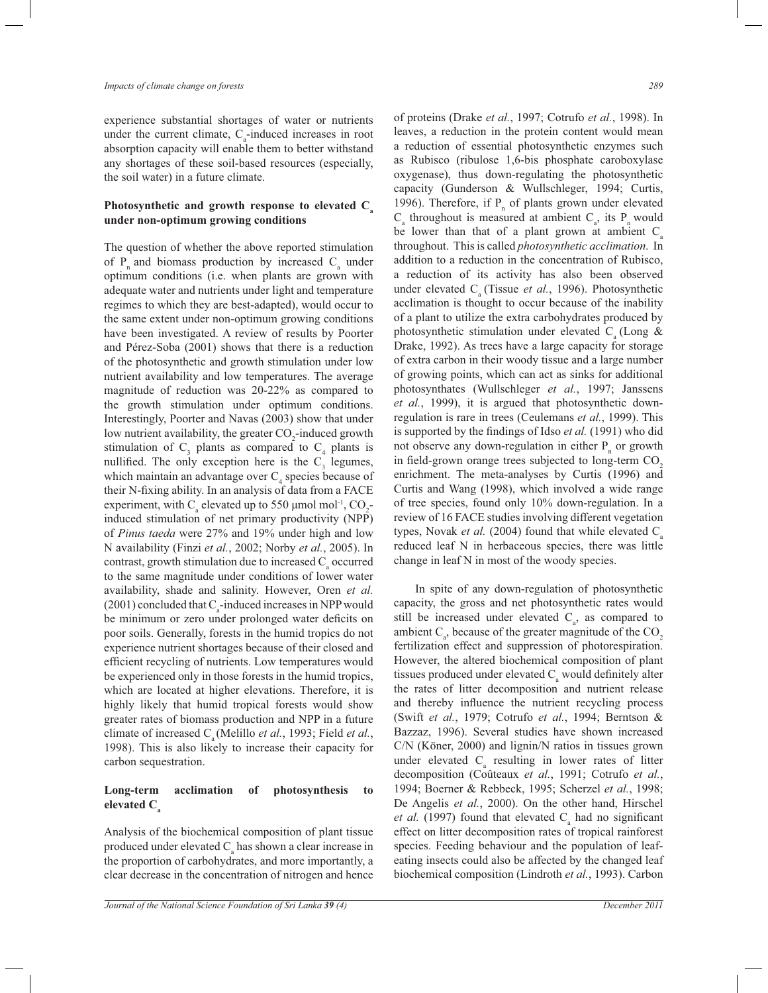experience substantial shortages of water or nutrients under the current climate,  $C_{a}$ -induced increases in root absorption capacity will enable them to better withstand any shortages of these soil-based resources (especially, the soil water) in a future climate.

# **Photosynthetic and growth response to elevated C<sup>a</sup> under non-optimum growing conditions**

The question of whether the above reported stimulation of  $P_n$  and biomass production by increased  $C_a$  under optimum conditions (i.e. when plants are grown with adequate water and nutrients under light and temperature regimes to which they are best-adapted), would occur to the same extent under non-optimum growing conditions have been investigated. A review of results by Poorter and Pérez-Soba (2001) shows that there is a reduction of the photosynthetic and growth stimulation under low nutrient availability and low temperatures. The average magnitude of reduction was 20-22% as compared to the growth stimulation under optimum conditions. Interestingly, Poorter and Navas (2003) show that under low nutrient availability, the greater CO<sub>2</sub>-induced growth stimulation of  $C_3$  plants as compared to  $C_4$  plants is nullified. The only exception here is the  $C_3$  legumes, which maintain an advantage over  $C_4$  species because of their N-fixing ability. In an analysis of data from a FACE experiment, with  $C_a$  elevated up to 550 µmol mol<sup>-1</sup>,  $CO_2$ induced stimulation of net primary productivity (NPP) of *Pinus taeda* were 27% and 19% under high and low N availability (Finzi *et al.*, 2002; Norby *et al.*, 2005). In contrast, growth stimulation due to increased  $C_{\text{a}}$  occurred to the same magnitude under conditions of lower water availability, shade and salinity. However, Oren *et al.*   $(2001)$  concluded that  $C_{\text{a}}$ -induced increases in NPP would be minimum or zero under prolonged water deficits on poor soils. Generally, forests in the humid tropics do not experience nutrient shortages because of their closed and efficient recycling of nutrients. Low temperatures would be experienced only in those forests in the humid tropics, which are located at higher elevations. Therefore, it is highly likely that humid tropical forests would show greater rates of biomass production and NPP in a future climate of increased  $C_a$  (Melillo *et al.*, 1993; Field *et al.*, 1998). This is also likely to increase their capacity for carbon sequestration.

# **Long-term acclimation of photosynthesis to elevated C<sup>a</sup>**

Analysis of the biochemical composition of plant tissue produced under elevated  $C_{\rm a}$  has shown a clear increase in the proportion of carbohydrates, and more importantly, a clear decrease in the concentration of nitrogen and hence

of proteins (Drake *et al.*, 1997; Cotrufo *et al.*, 1998). In leaves, a reduction in the protein content would mean a reduction of essential photosynthetic enzymes such as Rubisco (ribulose 1,6-bis phosphate caroboxylase oxygenase), thus down-regulating the photosynthetic capacity (Gunderson & Wullschleger, 1994; Curtis, 1996). Therefore, if  $P_n$  of plants grown under elevated  $C_{\rm a}$  throughout is measured at ambient  $C_{\rm a}$ , its  $P_{\rm n}$  would be lower than that of a plant grown at ambient  $C_a$ throughout. This is called *photosynthetic acclimation*. In addition to a reduction in the concentration of Rubisco, a reduction of its activity has also been observed under elevated C<sub>a</sub> (Tissue *et al.*, 1996). Photosynthetic acclimation is thought to occur because of the inability of a plant to utilize the extra carbohydrates produced by photosynthetic stimulation under elevated  $C_a$  (Long & Drake, 1992). As trees have a large capacity for storage of extra carbon in their woody tissue and a large number of growing points, which can act as sinks for additional photosynthates (Wullschleger *et al.*, 1997; Janssens *et al.*, 1999), it is argued that photosynthetic downregulation is rare in trees (Ceulemans *et al.*, 1999). This is supported by the findings of Idso *et al.* (1991) who did not observe any down-regulation in either  $P_n$  or growth in field-grown orange trees subjected to long-term  $CO<sub>2</sub>$ enrichment. The meta-analyses by Curtis (1996) and Curtis and Wang (1998), which involved a wide range of tree species, found only 10% down-regulation. In a review of 16 FACE studies involving different vegetation types, Novak *et al.* (2004) found that while elevated C<sub>a</sub> reduced leaf N in herbaceous species, there was little change in leaf N in most of the woody species.

 In spite of any down-regulation of photosynthetic capacity, the gross and net photosynthetic rates would still be increased under elevated  $C_{a}$ , as compared to ambient  $C_{a}$ , because of the greater magnitude of the  $CO_{2}$ fertilization effect and suppression of photorespiration. However, the altered biochemical composition of plant tissues produced under elevated  $C_{\text{a}}$  would definitely alter the rates of litter decomposition and nutrient release and thereby influence the nutrient recycling process (Swift *et al.*, 1979; Cotrufo *et al.*, 1994; Berntson & Bazzaz, 1996). Several studies have shown increased C/N (Köner, 2000) and lignin/N ratios in tissues grown under elevated  $C_{a}$  resulting in lower rates of litter decomposition (Coûteaux *et al.*, 1991; Cotrufo *et al.*, 1994; Boerner & Rebbeck, 1995; Scherzel *et al.*, 1998; De Angelis *et al.*, 2000). On the other hand, Hirschel *et al.* (1997) found that elevated  $C_a$  had no significant effect on litter decomposition rates of tropical rainforest species. Feeding behaviour and the population of leafeating insects could also be affected by the changed leaf biochemical composition (Lindroth *et al.*, 1993). Carbon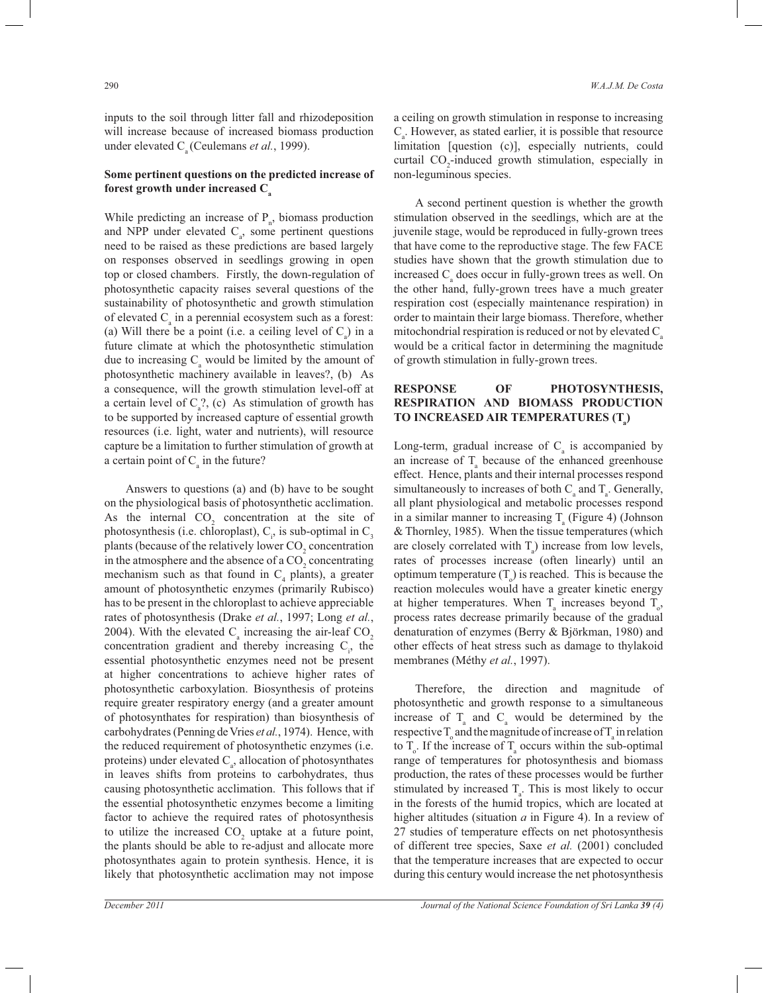inputs to the soil through litter fall and rhizodeposition will increase because of increased biomass production under elevated  $C_a$  (Ceulemans *et al.*, 1999).

### **Some pertinent questions on the predicted increase of forest growth under increased C<sup>a</sup>**

While predicting an increase of  $P_n$ , biomass production and NPP under elevated  $C_a$ , some pertinent questions need to be raised as these predictions are based largely on responses observed in seedlings growing in open top or closed chambers. Firstly, the down-regulation of photosynthetic capacity raises several questions of the sustainability of photosynthetic and growth stimulation of elevated  $C_{\rm a}$  in a perennial ecosystem such as a forest: (a) Will there be a point (i.e. a ceiling level of  $C_a$ ) in a future climate at which the photosynthetic stimulation due to increasing  $C_{a}$  would be limited by the amount of photosynthetic machinery available in leaves?, (b) As a consequence, will the growth stimulation level-off at a certain level of  $C_a$ ?, (c) As stimulation of growth has to be supported by increased capture of essential growth resources (i.e. light, water and nutrients), will resource capture be a limitation to further stimulation of growth at a certain point of  $C_a$  in the future?

 Answers to questions (a) and (b) have to be sought on the physiological basis of photosynthetic acclimation. As the internal  $CO<sub>2</sub>$  concentration at the site of photosynthesis (i.e. chloroplast),  $C_i$ , is sub-optimal in  $C_3$ plants (because of the relatively lower  $\mathrm{CO}_2$  concentration in the atmosphere and the absence of a  $\mathrm{CO}_2$  concentrating mechanism such as that found in  $C_4$  plants), a greater amount of photosynthetic enzymes (primarily Rubisco) has to be present in the chloroplast to achieve appreciable rates of photosynthesis (Drake *et al.*, 1997; Long *et al.*, 2004). With the elevated  $C_a$  increasing the air-leaf  $CO_2$ concentration gradient and thereby increasing  $C_i$ , the essential photosynthetic enzymes need not be present at higher concentrations to achieve higher rates of photosynthetic carboxylation. Biosynthesis of proteins require greater respiratory energy (and a greater amount of photosynthates for respiration) than biosynthesis of carbohydrates (Penning de Vries *et al.*, 1974). Hence, with the reduced requirement of photosynthetic enzymes (i.e. proteins) under elevated  $C_a$ , allocation of photosynthates in leaves shifts from proteins to carbohydrates, thus causing photosynthetic acclimation. This follows that if the essential photosynthetic enzymes become a limiting factor to achieve the required rates of photosynthesis to utilize the increased  $CO_2$  uptake at a future point, the plants should be able to re-adjust and allocate more photosynthates again to protein synthesis. Hence, it is likely that photosynthetic acclimation may not impose

a ceiling on growth stimulation in response to increasing  $C_{\rm a}$ . However, as stated earlier, it is possible that resource limitation [question (c)], especially nutrients, could curtail  $CO_2$ -induced growth stimulation, especially in non-leguminous species.

 A second pertinent question is whether the growth stimulation observed in the seedlings, which are at the juvenile stage, would be reproduced in fully-grown trees that have come to the reproductive stage. The few FACE studies have shown that the growth stimulation due to increased  $C_a$  does occur in fully-grown trees as well. On the other hand, fully-grown trees have a much greater respiration cost (especially maintenance respiration) in order to maintain their large biomass. Therefore, whether mitochondrial respiration is reduced or not by elevated  $C_a$ would be a critical factor in determining the magnitude of growth stimulation in fully-grown trees.

# **RESPONSE OF PHOTOSYNTHESIS, RESPIRATION AND BIOMASS PRODUCTION TO INCREASED AIR TEMPERATURES (T<sup>a</sup> )**

Long-term, gradual increase of  $C<sub>a</sub>$  is accompanied by an increase of  $T_a$  because of the enhanced greenhouse effect. Hence, plants and their internal processes respond simultaneously to increases of both  $C_a$  and  $T_a$ . Generally, all plant physiological and metabolic processes respond in a similar manner to increasing  $T_a$  (Figure 4) (Johnson & Thornley, 1985). When the tissue temperatures (which are closely correlated with  $T_a$ ) increase from low levels, rates of processes increase (often linearly) until an optimum temperature  $(T_0)$  is reached. This is because the reaction molecules would have a greater kinetic energy at higher temperatures. When  $T_a$  increases beyond  $T_o$ , process rates decrease primarily because of the gradual denaturation of enzymes (Berry & Björkman, 1980) and other effects of heat stress such as damage to thylakoid membranes (Méthy *et al.*, 1997).

 Therefore, the direction and magnitude of photosynthetic and growth response to a simultaneous increase of  $T_a$  and  $C_a$  would be determined by the respective  $T_{\text{o}}$  and the magnitude of increase of  $T_{\text{a}}$  in relation to  $T_{o}$ . If the increase of  $T_{a}$  occurs within the sub-optimal range of temperatures for photosynthesis and biomass production, the rates of these processes would be further stimulated by increased  $T_a$ . This is most likely to occur in the forests of the humid tropics, which are located at higher altitudes (situation *a* in Figure 4). In a review of 27 studies of temperature effects on net photosynthesis of different tree species, Saxe *et al.* (2001) concluded that the temperature increases that are expected to occur during this century would increase the net photosynthesis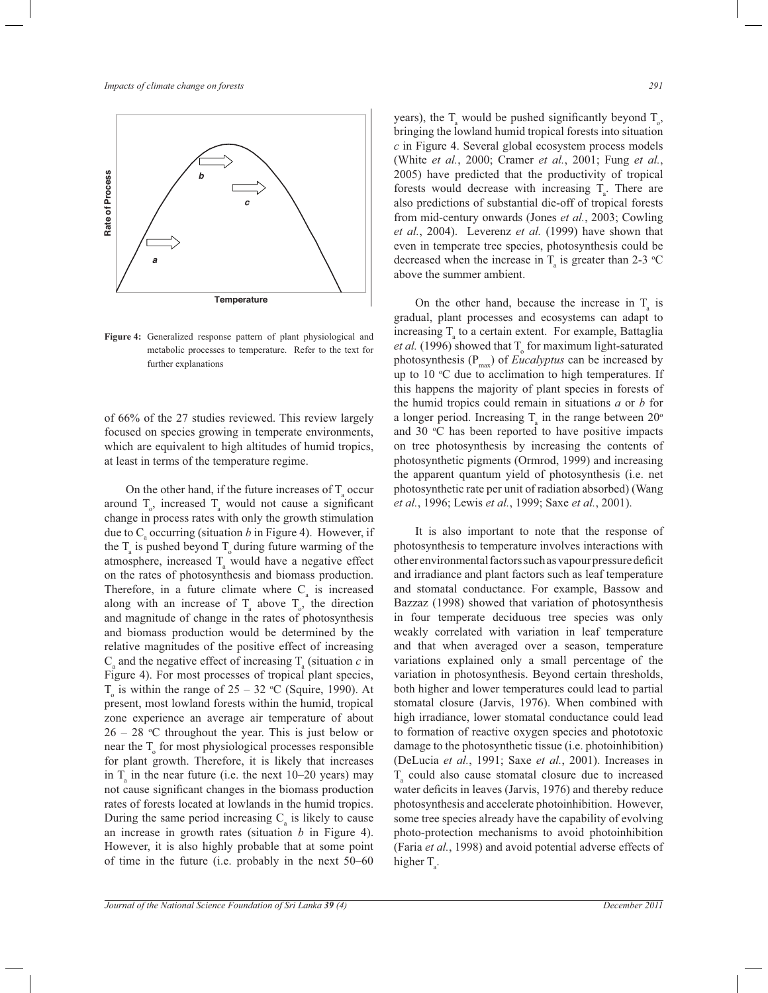

**Figure 4:** Generalized response pattern of plant physiological and metabolic processes to temperature. Refer to the text for further explanations

of 66% of the 27 studies reviewed. This review largely focused on species growing in temperate environments, which are equivalent to high altitudes of humid tropics, at least in terms of the temperature regime.

On the other hand, if the future increases of  $T_{\text{a}}$  occur around  $T_{\circ}$ , increased  $T_{\circ}$  would not cause a significant change in process rates with only the growth stimulation due to  $C_{\text{a}}$  occurring (situation *b* in Figure 4). However, if the  $T_a$  is pushed beyond  $T_o$  during future warming of the atmosphere, increased  $T_a$  would have a negative effect on the rates of photosynthesis and biomass production. Therefore, in a future climate where  $C_{a}$  is increased along with an increase of  $T_a$  above  $T_o$ , the direction and magnitude of change in the rates of photosynthesis and biomass production would be determined by the relative magnitudes of the positive effect of increasing  $C_{\rm a}$  and the negative effect of increasing  $T_{\rm a}$  (situation *c* in Figure 4). For most processes of tropical plant species,  $T<sub>o</sub>$  is within the range of 25 – 32 °C (Squire, 1990). At present, most lowland forests within the humid, tropical zone experience an average air temperature of about  $26 - 28$  °C throughout the year. This is just below or near the  $T_{o}$  for most physiological processes responsible for plant growth. Therefore, it is likely that increases in  $T_a$  in the near future (i.e. the next 10–20 years) may not cause significant changes in the biomass production rates of forests located at lowlands in the humid tropics. During the same period increasing  $C_a$  is likely to cause an increase in growth rates (situation *b* in Figure 4). However, it is also highly probable that at some point of time in the future (i.e. probably in the next 50–60

years), the  $T_a$  would be pushed significantly beyond  $T_o$ , bringing the lowland humid tropical forests into situation *c* in Figure 4. Several global ecosystem process models (White *et al.*, 2000; Cramer *et al.*, 2001; Fung *et al.*, 2005) have predicted that the productivity of tropical forests would decrease with increasing  $T_a$ . There are also predictions of substantial die-off of tropical forests from mid-century onwards (Jones *et al.*, 2003; Cowling *et al.*, 2004). Leverenz *et al.* (1999) have shown that even in temperate tree species, photosynthesis could be decreased when the increase in  $T_a$  is greater than 2-3 °C above the summer ambient.

On the other hand, because the increase in  $T_a$  is gradual, plant processes and ecosystems can adapt to increasing  $T_a$  to a certain extent. For example, Battaglia *et al.* (1996) showed that  $T_0$  for maximum light-saturated photosynthesis (P<sub>max</sub>) of *Eucalyptus* can be increased by up to  $10^{\circ}$ C due to acclimation to high temperatures. If this happens the majority of plant species in forests of the humid tropics could remain in situations *a* or *b* for a longer period. Increasing  $T_a$  in the range between  $20^\circ$ and 30  $\degree$ C has been reported to have positive impacts on tree photosynthesis by increasing the contents of photosynthetic pigments (Ormrod, 1999) and increasing the apparent quantum yield of photosynthesis (i.e. net photosynthetic rate per unit of radiation absorbed) (Wang *et al.*, 1996; Lewis *et al.*, 1999; Saxe *et al.*, 2001).

 It is also important to note that the response of photosynthesis to temperature involves interactions with other environmental factors such as vapour pressure deficit and irradiance and plant factors such as leaf temperature and stomatal conductance. For example, Bassow and Bazzaz (1998) showed that variation of photosynthesis in four temperate deciduous tree species was only weakly correlated with variation in leaf temperature and that when averaged over a season, temperature variations explained only a small percentage of the variation in photosynthesis. Beyond certain thresholds, both higher and lower temperatures could lead to partial stomatal closure (Jarvis, 1976). When combined with high irradiance, lower stomatal conductance could lead to formation of reactive oxygen species and phototoxic damage to the photosynthetic tissue (i.e. photoinhibition) (DeLucia *et al.*, 1991; Saxe *et al.*, 2001). Increases in  $T_a$  could also cause stomatal closure due to increased water deficits in leaves (Jarvis, 1976) and thereby reduce photosynthesis and accelerate photoinhibition. However, some tree species already have the capability of evolving photo-protection mechanisms to avoid photoinhibition (Faria *et al.*, 1998) and avoid potential adverse effects of higher  $T_{a}$ .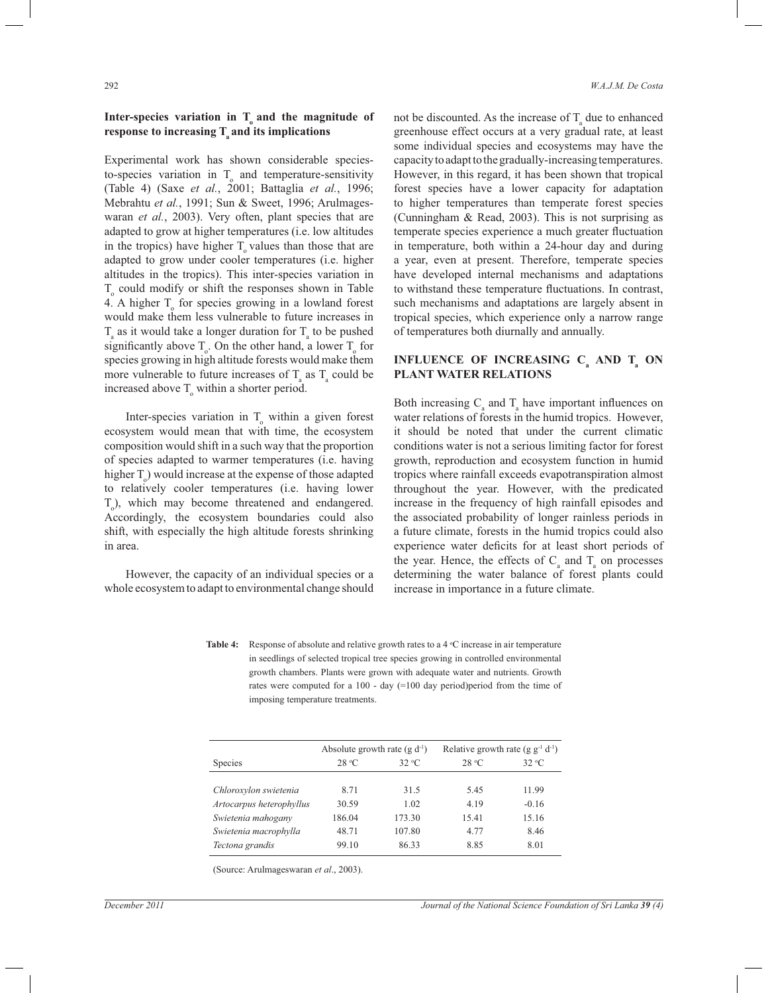# **Inter-species variation in T<sup>o</sup> and the magnitude of response to increasing T<sup>a</sup> and its implications**

Experimental work has shown considerable speciesto-species variation in  $T_0$  and temperature-sensitivity (Table 4) (Saxe *et al.*, 2001; Battaglia *et al.*, 1996; Mebrahtu *et al.*, 1991; Sun & Sweet, 1996; Arulmageswaran *et al.*, 2003). Very often, plant species that are adapted to grow at higher temperatures (i.e. low altitudes in the tropics) have higher  $T_0$  values than those that are adapted to grow under cooler temperatures (i.e. higher altitudes in the tropics). This inter-species variation in  $T_{o}$  could modify or shift the responses shown in Table 4. A higher  $T_{o}$  for species growing in a lowland forest would make them less vulnerable to future increases in  $T_{\rm a}$  as it would take a longer duration for  $T_{\rm a}$  to be pushed significantly above  $T_o$ . On the other hand, a lower  $T_o$  for species growing in high altitude forests would make them more vulnerable to future increases of  $T_a$  as  $T_a$  could be increased above  $T_0$  within a shorter period.

Inter-species variation in  $T_{o}$  within a given forest ecosystem would mean that with time, the ecosystem composition would shift in a such way that the proportion of species adapted to warmer temperatures (i.e. having higher  $T<sub>o</sub>$ ) would increase at the expense of those adapted to relatively cooler temperatures (i.e. having lower T<sub>o</sub>), which may become threatened and endangered. Accordingly, the ecosystem boundaries could also shift, with especially the high altitude forests shrinking in area.

 However, the capacity of an individual species or a whole ecosystem to adapt to environmental change should

not be discounted. As the increase of  $T_{\text{a}}$  due to enhanced greenhouse effect occurs at a very gradual rate, at least some individual species and ecosystems may have the capacity to adapt to the gradually-increasing temperatures. However, in this regard, it has been shown that tropical forest species have a lower capacity for adaptation to higher temperatures than temperate forest species (Cunningham & Read, 2003). This is not surprising as temperate species experience a much greater fluctuation in temperature, both within a 24-hour day and during a year, even at present. Therefore, temperate species have developed internal mechanisms and adaptations to withstand these temperature fluctuations. In contrast, such mechanisms and adaptations are largely absent in tropical species, which experience only a narrow range of temperatures both diurnally and annually.

### **INFLUENCE OF INCREASING C<sub>a</sub> AND T<sub>a</sub> ON PLANT WATER RELATIONS**

Both increasing  $C_a$  and  $T_a$  have important influences on water relations of forests in the humid tropics. However, it should be noted that under the current climatic conditions water is not a serious limiting factor for forest growth, reproduction and ecosystem function in humid tropics where rainfall exceeds evapotranspiration almost throughout the year. However, with the predicated increase in the frequency of high rainfall episodes and the associated probability of longer rainless periods in a future climate, forests in the humid tropics could also experience water deficits for at least short periods of the year. Hence, the effects of  $C_a$  and  $T_a$  on processes determining the water balance of forest plants could increase in importance in a future climate.

Table 4: Response of absolute and relative growth rates to a 4 °C increase in air temperature in seedlings of selected tropical tree species growing in controlled environmental growth chambers. Plants were grown with adequate water and nutrients. Growth rates were computed for a 100 - day (=100 day period)period from the time of imposing temperature treatments.

|                          | Absolute growth rate $(g d^{-1})$ |        | Relative growth rate (g $g^{-1}$ d <sup>-1</sup> ) |         |
|--------------------------|-----------------------------------|--------|----------------------------------------------------|---------|
| Species                  | 28 °C                             | 32 °C  | 28 °C                                              | 32 °C   |
| Chloroxylon swietenia    | 8.71                              | 31.5   | 5.45                                               | 11.99   |
| Artocarpus heterophyllus | 30.59                             | 1.02   | 4.19                                               | $-0.16$ |
| Swietenia mahogany       | 186.04                            | 173.30 | 15.41                                              | 15.16   |
| Swietenia macrophylla    | 48.71                             | 107.80 | 4.77                                               | 8.46    |
| Tectona grandis          | 99.10                             | 86.33  | 8.85                                               | 8.01    |

(Source: Arulmageswaran *et al*., 2003).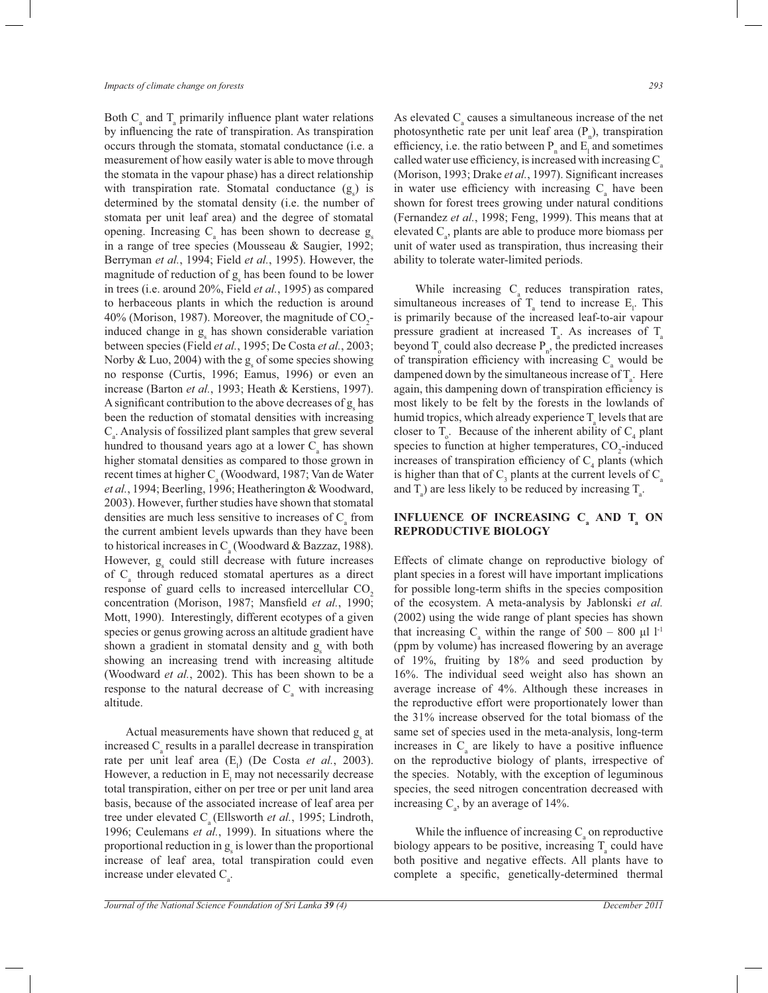Both  $C_a$  and  $T_a$  primarily influence plant water relations by influencing the rate of transpiration. As transpiration occurs through the stomata, stomatal conductance (i.e. a measurement of how easily water is able to move through the stomata in the vapour phase) has a direct relationship with transpiration rate. Stomatal conductance  $(g_s)$  is determined by the stomatal density (i.e. the number of stomata per unit leaf area) and the degree of stomatal opening. Increasing  $C_a$  has been shown to decrease  $g_s$ in a range of tree species (Mousseau & Saugier, 1992; Berryman *et al.*, 1994; Field *et al.*, 1995). However, the magnitude of reduction of  $g_s$  has been found to be lower in trees (i.e. around 20%, Field *et al.*, 1995) as compared to herbaceous plants in which the reduction is around 40% (Morison, 1987). Moreover, the magnitude of  $CO_2$ induced change in  $g_s$  has shown considerable variation between species (Field *et al.*, 1995; De Costa *et al.*, 2003; Norby & Luo, 2004) with the  $g_s$  of some species showing no response (Curtis, 1996; Eamus, 1996) or even an increase (Barton *et al.*, 1993; Heath & Kerstiens, 1997). A significant contribution to the above decreases of  $g_s$  has been the reduction of stomatal densities with increasing  $C_a$ . Analysis of fossilized plant samples that grew several hundred to thousand years ago at a lower  $C_{a}$  has shown higher stomatal densities as compared to those grown in recent times at higher C<sub>a</sub> (Woodward, 1987; Van de Water *et al.*, 1994; Beerling, 1996; Heatherington & Woodward, 2003). However, further studies have shown that stomatal densities are much less sensitive to increases of  $C_{\rm a}$  from the current ambient levels upwards than they have been to historical increases in  $C_a$  (Woodward & Bazzaz, 1988). However,  $g_s$  could still decrease with future increases of C<sub>a</sub> through reduced stomatal apertures as a direct response of guard cells to increased intercellular CO<sub>2</sub> concentration (Morison, 1987; Mansfield *et al.*, 1990; Mott, 1990). Interestingly, different ecotypes of a given species or genus growing across an altitude gradient have shown a gradient in stomatal density and  $g_s$  with both showing an increasing trend with increasing altitude (Woodward *et al.*, 2002). This has been shown to be a response to the natural decrease of  $C_{\rm a}$  with increasing altitude.

Actual measurements have shown that reduced  $g_s$  at increased  $C_a$  results in a parallel decrease in transpiration rate per unit leaf area (E<sub>1</sub>) (De Costa *et al.*, 2003). However, a reduction in  $E_1$  may not necessarily decrease total transpiration, either on per tree or per unit land area basis, because of the associated increase of leaf area per tree under elevated C<sub>a</sub> (Ellsworth *et al.*, 1995; Lindroth, 1996; Ceulemans *et al.*, 1999). In situations where the proportional reduction in  $g_s$  is lower than the proportional increase of leaf area, total transpiration could even increase under elevated  $C_{a}$ .

As elevated  $C_a$  causes a simultaneous increase of the net photosynthetic rate per unit leaf area  $(P_n)$ , transpiration efficiency, i.e. the ratio between  $P_n$  and  $E_1$  and sometimes called water use efficiency, is increased with increasing  $C_{a}$ (Morison, 1993; Drake *et al.*, 1997). Significant increases in water use efficiency with increasing  $C<sub>a</sub>$  have been shown for forest trees growing under natural conditions (Fernandez *et al.*, 1998; Feng, 1999). This means that at elevated  $C_{a}$ , plants are able to produce more biomass per unit of water used as transpiration, thus increasing their ability to tolerate water-limited periods.

While increasing  $C_a$  reduces transpiration rates, simultaneous increases of  $T_a$  tend to increase  $E_1$ . This is primarily because of the increased leaf-to-air vapour pressure gradient at increased  $T_a$ . As increases of  $T_a$ beyond  $T_0$  could also decrease  $P_n$ , the predicted increases of transpiration efficiency with increasing  $C_{\text{a}}$  would be dampened down by the simultaneous increase of  $T_a$ . Here again, this dampening down of transpiration efficiency is most likely to be felt by the forests in the lowlands of humid tropics, which already experience  $T_a$  levels that are closer to  $T_o$ . Because of the inherent ability of  $C_4$  plant species to function at higher temperatures,  $CO_2$ -induced increases of transpiration efficiency of  $C_4$  plants (which is higher than that of  $C_3$  plants at the current levels of  $C_a$ and  $T_a$ ) are less likely to be reduced by increasing  $T_a$ .

### **INFLUENCE OF INCREASING C<sub>a</sub> AND T<sub>a</sub> ON REPRODUCTIVE BIOLOGY**

Effects of climate change on reproductive biology of plant species in a forest will have important implications for possible long-term shifts in the species composition of the ecosystem. A meta-analysis by Jablonski *et al.*  (2002) using the wide range of plant species has shown that increasing  $C_a$  within the range of 500 – 800  $\mu$ l l<sup>-1</sup> (ppm by volume) has increased flowering by an average of 19%, fruiting by 18% and seed production by 16%. The individual seed weight also has shown an average increase of 4%. Although these increases in the reproductive effort were proportionately lower than the 31% increase observed for the total biomass of the same set of species used in the meta-analysis, long-term increases in  $C_a$  are likely to have a positive influence on the reproductive biology of plants, irrespective of the species. Notably, with the exception of leguminous species, the seed nitrogen concentration decreased with increasing  $C_a$ , by an average of 14%.

While the influence of increasing  $C_a$  on reproductive biology appears to be positive, increasing  $T_a$  could have both positive and negative effects. All plants have to complete a specific, genetically-determined thermal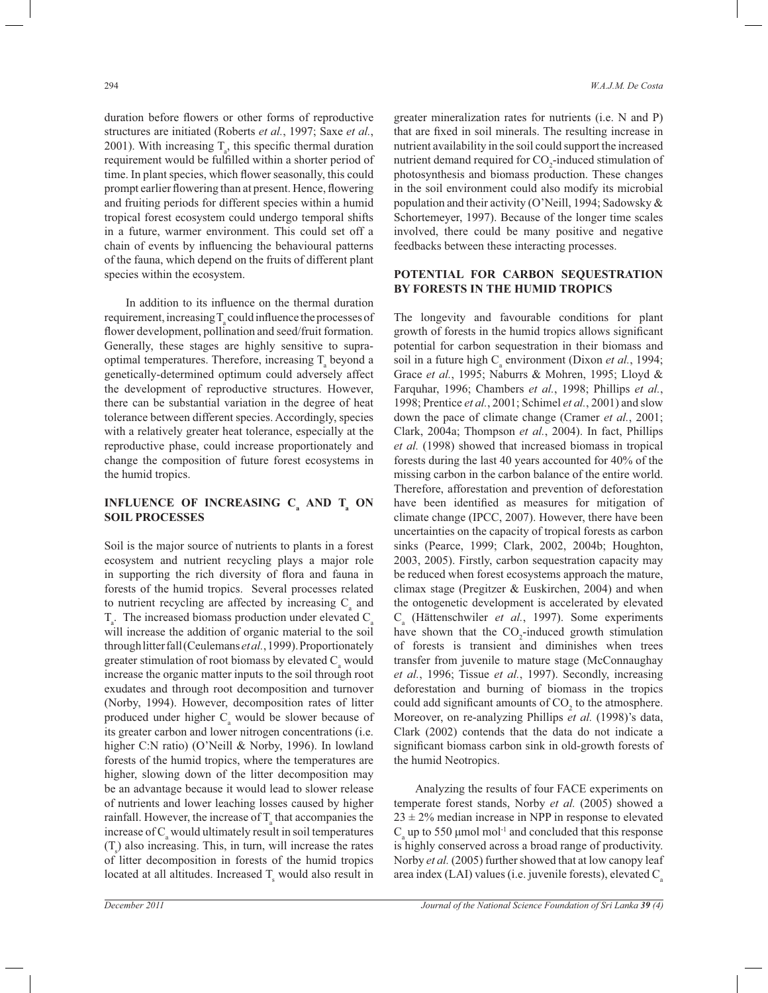duration before flowers or other forms of reproductive structures are initiated (Roberts *et al.*, 1997; Saxe *et al.*, 2001). With increasing  $T_a$ , this specific thermal duration requirement would be fulfilled within a shorter period of time. In plant species, which flower seasonally, this could prompt earlier flowering than at present. Hence, flowering and fruiting periods for different species within a humid tropical forest ecosystem could undergo temporal shifts in a future, warmer environment. This could set off a chain of events by influencing the behavioural patterns of the fauna, which depend on the fruits of different plant species within the ecosystem.

 In addition to its influence on the thermal duration requirement, increasing  $T_{a}$  could influence the processes of flower development, pollination and seed/fruit formation. Generally, these stages are highly sensitive to supraoptimal temperatures. Therefore, increasing  $T_a$  beyond a genetically-determined optimum could adversely affect the development of reproductive structures. However, there can be substantial variation in the degree of heat tolerance between different species. Accordingly, species with a relatively greater heat tolerance, especially at the reproductive phase, could increase proportionately and change the composition of future forest ecosystems in the humid tropics.

# **INFLUENCE OF INCREASING C<sub>a</sub> AND T<sub>a</sub> ON SOIL PROCESSES**

Soil is the major source of nutrients to plants in a forest ecosystem and nutrient recycling plays a major role in supporting the rich diversity of flora and fauna in forests of the humid tropics. Several processes related to nutrient recycling are affected by increasing  $C_{a}$  and  $T_{\rm a}$ . The increased biomass production under elevated  $C_{\rm a}$ will increase the addition of organic material to the soil through litter fall (Ceulemans *et al.*, 1999). Proportionately greater stimulation of root biomass by elevated  $C_{a}$  would increase the organic matter inputs to the soil through root exudates and through root decomposition and turnover (Norby, 1994). However, decomposition rates of litter produced under higher  $C_{\rm a}$  would be slower because of its greater carbon and lower nitrogen concentrations (i.e. higher C:N ratio) (O'Neill & Norby, 1996). In lowland forests of the humid tropics, where the temperatures are higher, slowing down of the litter decomposition may be an advantage because it would lead to slower release of nutrients and lower leaching losses caused by higher rainfall. However, the increase of  $T_{\text{a}}$  that accompanies the increase of  $C_{\text{a}}$  would ultimately result in soil temperatures  $(T<sub>s</sub>)$  also increasing. This, in turn, will increase the rates of litter decomposition in forests of the humid tropics located at all altitudes. Increased  $T_s$  would also result in greater mineralization rates for nutrients (i.e. N and P) that are fixed in soil minerals. The resulting increase in nutrient availability in the soil could support the increased nutrient demand required for  $CO_2$ -induced stimulation of photosynthesis and biomass production. These changes in the soil environment could also modify its microbial population and their activity (O'Neill, 1994; Sadowsky & Schortemeyer, 1997). Because of the longer time scales involved, there could be many positive and negative feedbacks between these interacting processes.

# **POTENTIAL FOR CARBON SEQUESTRATION BY FORESTS IN THE HUMID TROPICS**

The longevity and favourable conditions for plant growth of forests in the humid tropics allows significant potential for carbon sequestration in their biomass and soil in a future high  $C_a$  environment (Dixon *et al.*, 1994; Grace *et al.*, 1995; Naburrs & Mohren, 1995; Lloyd & Farquhar, 1996; Chambers *et al.*, 1998; Phillips *et al.*, 1998; Prentice *et al.*, 2001; Schimel *et al.*, 2001) and slow down the pace of climate change (Cramer *et al.*, 2001; Clark, 2004a; Thompson *et al.*, 2004). In fact, Phillips *et al.* (1998) showed that increased biomass in tropical forests during the last 40 years accounted for 40% of the missing carbon in the carbon balance of the entire world. Therefore, afforestation and prevention of deforestation have been identified as measures for mitigation of climate change (IPCC, 2007). However, there have been uncertainties on the capacity of tropical forests as carbon sinks (Pearce, 1999; Clark, 2002, 2004b; Houghton, 2003, 2005). Firstly, carbon sequestration capacity may be reduced when forest ecosystems approach the mature, climax stage (Pregitzer & Euskirchen, 2004) and when the ontogenetic development is accelerated by elevated C<sub>a</sub> (Hättenschwiler *et al.*, 1997). Some experiments have shown that the  $CO_2$ -induced growth stimulation of forests is transient and diminishes when trees transfer from juvenile to mature stage (McConnaughay *et al.*, 1996; Tissue *et al.*, 1997). Secondly, increasing deforestation and burning of biomass in the tropics could add significant amounts of  $CO<sub>2</sub>$  to the atmosphere. Moreover, on re-analyzing Phillips *et al.* (1998)'s data, Clark (2002) contends that the data do not indicate a significant biomass carbon sink in old-growth forests of the humid Neotropics.

 Analyzing the results of four FACE experiments on temperate forest stands, Norby *et al.* (2005) showed a  $23 \pm 2\%$  median increase in NPP in response to elevated  $C<sub>a</sub>$  up to 550 μmol mol<sup>-1</sup> and concluded that this response is highly conserved across a broad range of productivity. Norby *et al.* (2005) further showed that at low canopy leaf area index (LAI) values (i.e. juvenile forests), elevated  $C_a$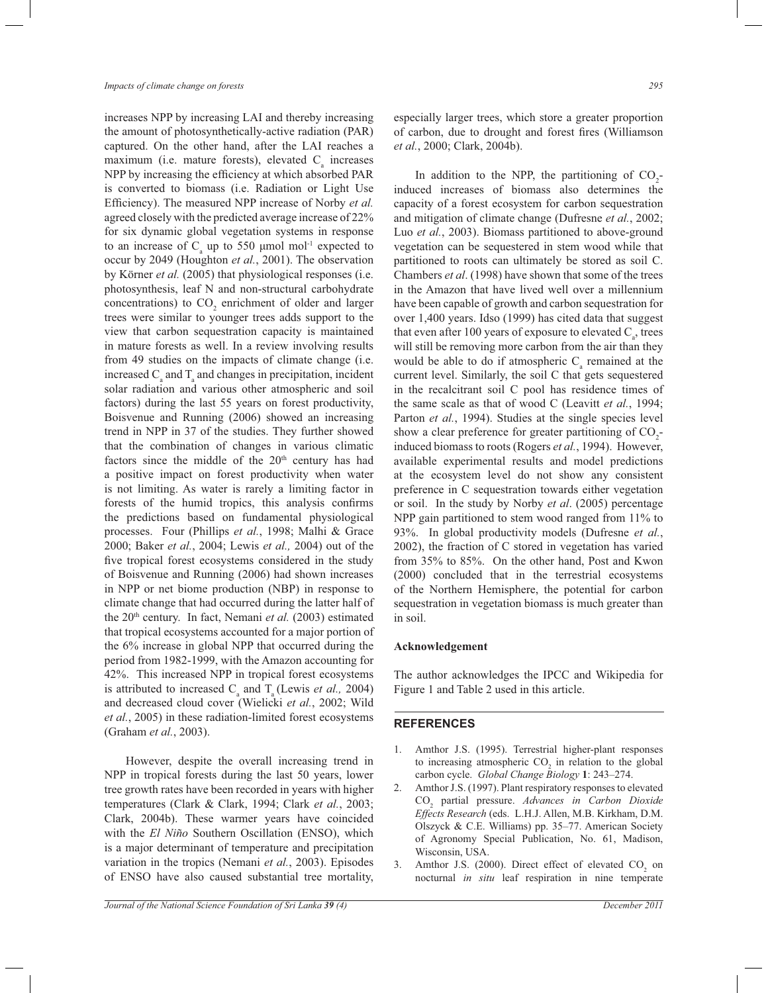increases NPP by increasing LAI and thereby increasing the amount of photosynthetically-active radiation (PAR) captured. On the other hand, after the LAI reaches a maximum (i.e. mature forests), elevated  $C_{\text{a}}$  increases NPP by increasing the efficiency at which absorbed PAR is converted to biomass (i.e. Radiation or Light Use Efficiency). The measured NPP increase of Norby *et al.* agreed closely with the predicted average increase of 22% for six dynamic global vegetation systems in response to an increase of  $C_{\rm a}$  up to 550 µmol mol<sup>-1</sup> expected to occur by 2049 (Houghton *et al.*, 2001). The observation by Körner *et al.* (2005) that physiological responses (i.e. photosynthesis, leaf N and non-structural carbohydrate concentrations) to  $CO<sub>2</sub>$  enrichment of older and larger trees were similar to younger trees adds support to the view that carbon sequestration capacity is maintained in mature forests as well. In a review involving results from 49 studies on the impacts of climate change (i.e. increased  $C_a$  and  $T_a$  and changes in precipitation, incident solar radiation and various other atmospheric and soil factors) during the last 55 years on forest productivity, Boisvenue and Running (2006) showed an increasing trend in NPP in 37 of the studies. They further showed that the combination of changes in various climatic factors since the middle of the  $20<sup>th</sup>$  century has had a positive impact on forest productivity when water is not limiting. As water is rarely a limiting factor in forests of the humid tropics, this analysis confirms the predictions based on fundamental physiological processes. Four (Phillips *et al.*, 1998; Malhi & Grace 2000; Baker *et al.*, 2004; Lewis *et al.,* 2004) out of the five tropical forest ecosystems considered in the study of Boisvenue and Running (2006) had shown increases in NPP or net biome production (NBP) in response to climate change that had occurred during the latter half of the 20th century. In fact, Nemani *et al.* (2003) estimated that tropical ecosystems accounted for a major portion of the 6% increase in global NPP that occurred during the period from 1982-1999, with the Amazon accounting for 42%. This increased NPP in tropical forest ecosystems is attributed to increased  $C_a$  and  $T_a$  (Lewis *et al.,* 2004) and decreased cloud cover (Wielicki *et al.*, 2002; Wild *et al.*, 2005) in these radiation-limited forest ecosystems (Graham *et al.*, 2003).

 However, despite the overall increasing trend in NPP in tropical forests during the last 50 years, lower tree growth rates have been recorded in years with higher temperatures (Clark & Clark, 1994; Clark *et al.*, 2003; Clark, 2004b). These warmer years have coincided with the *El Niño* Southern Oscillation (ENSO), which is a major determinant of temperature and precipitation variation in the tropics (Nemani *et al.*, 2003). Episodes of ENSO have also caused substantial tree mortality,

especially larger trees, which store a greater proportion of carbon, due to drought and forest fires (Williamson *et al.*, 2000; Clark, 2004b).

In addition to the NPP, the partitioning of  $CO_2$ induced increases of biomass also determines the capacity of a forest ecosystem for carbon sequestration and mitigation of climate change (Dufresne *et al.*, 2002; Luo *et al.*, 2003). Biomass partitioned to above-ground vegetation can be sequestered in stem wood while that partitioned to roots can ultimately be stored as soil C. Chambers *et al*. (1998) have shown that some of the trees in the Amazon that have lived well over a millennium have been capable of growth and carbon sequestration for over 1,400 years. Idso (1999) has cited data that suggest that even after 100 years of exposure to elevated  $C_{\rm a}$ , trees will still be removing more carbon from the air than they would be able to do if atmospheric  $C_{a}$  remained at the current level. Similarly, the soil C that gets sequestered in the recalcitrant soil C pool has residence times of the same scale as that of wood C (Leavitt *et al.*, 1994; Parton *et al.*, 1994). Studies at the single species level show a clear preference for greater partitioning of  $CO_2$ induced biomass to roots (Rogers *et al.*, 1994). However, available experimental results and model predictions at the ecosystem level do not show any consistent preference in C sequestration towards either vegetation or soil. In the study by Norby *et al*. (2005) percentage NPP gain partitioned to stem wood ranged from 11% to 93%. In global productivity models (Dufresne *et al.*, 2002), the fraction of C stored in vegetation has varied from 35% to 85%. On the other hand, Post and Kwon (2000) concluded that in the terrestrial ecosystems of the Northern Hemisphere, the potential for carbon sequestration in vegetation biomass is much greater than in soil.

#### **Acknowledgement**

The author acknowledges the IPCC and Wikipedia for Figure 1 and Table 2 used in this article.

#### **REFERENCES**

- 1. Amthor J.S. (1995). Terrestrial higher-plant responses to increasing atmospheric  $CO<sub>2</sub>$  in relation to the global carbon cycle. *Global Change Biology* **1**: 243–274.
- 2. Amthor J.S. (1997). Plant respiratory responses to elevated CO<sup>2</sup> partial pressure. *Advances in Carbon Dioxide Effects Research* (eds. L.H.J. Allen, M.B. Kirkham, D.M. Olszyck & C.E. Williams) pp. 35–77. American Society of Agronomy Special Publication, No. 61, Madison, Wisconsin, USA.
- 3. Amthor J.S. (2000). Direct effect of elevated  $CO<sub>2</sub>$  on nocturnal *in situ* leaf respiration in nine temperate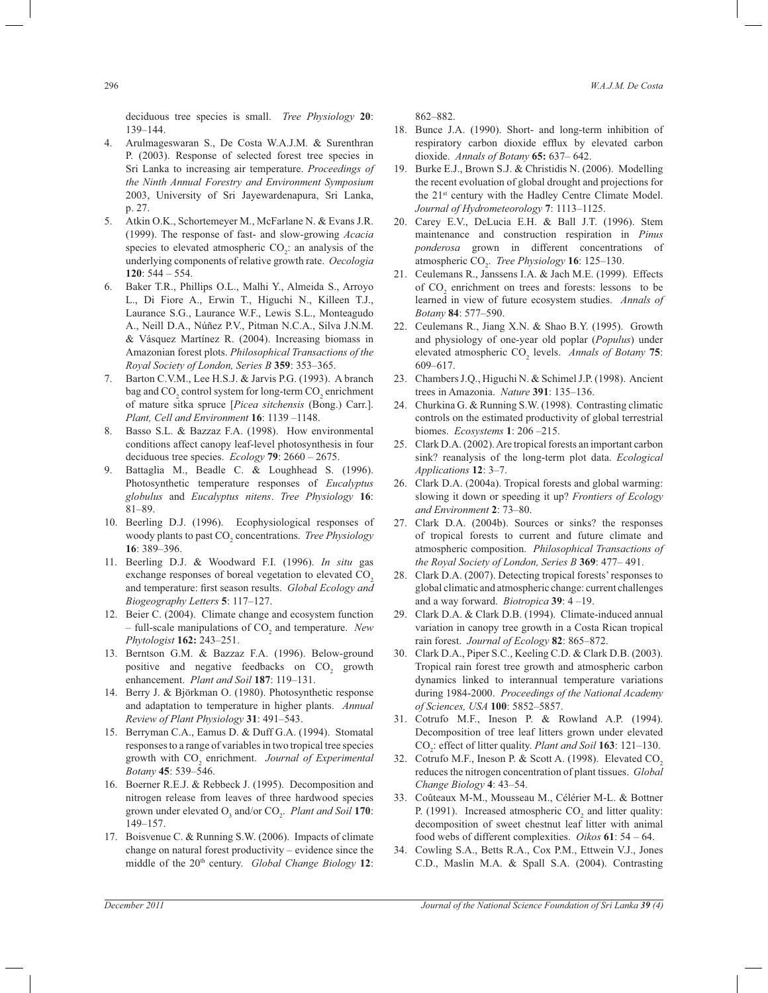deciduous tree species is small. *Tree Physiology* **20**: 139–144.

- 4. Arulmageswaran S., De Costa W.A.J.M. & Surenthran P. (2003). Response of selected forest tree species in Sri Lanka to increasing air temperature. *Proceedings of the Ninth Annual Forestry and Environment Symposium*  2003, University of Sri Jayewardenapura, Sri Lanka, p. 27.
- 5. Atkin O.K., Schortemeyer M., McFarlane N. & Evans J.R. (1999). The response of fast- and slow-growing *Acacia*  species to elevated atmospheric  $CO_2$ : an analysis of the underlying components of relative growth rate. *Oecologia*  **120**: 544 – 554.
- 6. Baker T.R., Phillips O.L., Malhi Y., Almeida S., Arroyo L., Di Fiore A., Erwin T., Higuchi N., Killeen T.J., Laurance S.G., Laurance W.F., Lewis S.L., Monteagudo A., Neill D.A., Núñez P.V., Pitman N.C.A., Silva J.N.M. & Vásquez Martínez R. (2004). Increasing biomass in Amazonian forest plots. *Philosophical Transactions of the Royal Society of London, Series B* **359**: 353–365.
- 7. Barton C.V.M., Lee H.S.J. & Jarvis P.G. (1993). A branch bag and  $\mathrm{CO}_2$  control system for long-term  $\mathrm{CO}_2$  enrichment of mature sitka spruce [*Picea sitchensis* (Bong.) Carr.]. *Plant, Cell and Environment* **16**: 1139 –1148.
- 8. Basso S.L. & Bazzaz F.A. (1998). How environmental conditions affect canopy leaf-level photosynthesis in four deciduous tree species. *Ecology* **79**: 2660 – 2675.
- 9. Battaglia M., Beadle C. & Loughhead S. (1996). Photosynthetic temperature responses of *Eucalyptus globulus* and *Eucalyptus nitens*. *Tree Physiology* **16**: 81–89.
- 10. Beerling D.J. (1996). Ecophysiological responses of woody plants to past CO<sub>2</sub> concentrations. *Tree Physiology* **16**: 389–396.
- 11. Beerling D.J. & Woodward F.I. (1996). *In situ* gas exchange responses of boreal vegetation to elevated CO<sub>2</sub> and temperature: first season results. *Global Ecology and Biogeography Letters* **5**: 117–127.
- 12. Beier C. (2004). Climate change and ecosystem function – full-scale manipulations of CO<sub>2</sub> and temperature. *New Phytologist* **162:** 243–251.
- 13. Berntson G.M. & Bazzaz F.A. (1996). Below-ground positive and negative feedbacks on  $CO<sub>2</sub>$  growth enhancement. *Plant and Soil* **187**: 119–131.
- 14. Berry J. & Björkman O. (1980). Photosynthetic response and adaptation to temperature in higher plants. *Annual Review of Plant Physiology* **31**: 491–543.
- 15. Berryman C.A., Eamus D. & Duff G.A. (1994). Stomatal responses to a range of variables in two tropical tree species growth with CO<sub>2</sub> enrichment. *Journal of Experimental Botany* **45**: 539–546.
- 16. Boerner R.E.J. & Rebbeck J. (1995). Decomposition and nitrogen release from leaves of three hardwood species grown under elevated O<sub>3</sub> and/or CO<sub>2</sub>. *Plant and Soil* **170**: 149–157.
- 17. Boisvenue C. & Running S.W. (2006). Impacts of climate change on natural forest productivity – evidence since the middle of the 20th century. *Global Change Biology* **12**:

862–882.

- 18. Bunce J.A. (1990). Short- and long-term inhibition of respiratory carbon dioxide efflux by elevated carbon dioxide. *Annals of Botany* **65:** 637– 642.
- 19. Burke E.J., Brown S.J. & Christidis N. (2006). Modelling the recent evoluation of global drought and projections for the 21st century with the Hadley Centre Climate Model. *Journal of Hydrometeorology* **7**: 1113–1125.
- 20. Carey E.V., DeLucia E.H. & Ball J.T. (1996). Stem maintenance and construction respiration in *Pinus ponderosa* grown in different concentrations of atmospheric CO<sub>2</sub>. *Tree Physiology* **16**: 125–130.
- 21. Ceulemans R., Janssens I.A. & Jach M.E. (1999). Effects of  $CO<sub>2</sub>$  enrichment on trees and forests: lessons to be learned in view of future ecosystem studies. *Annals of Botany* **84**: 577–590.
- 22. Ceulemans R., Jiang X.N. & Shao B.Y. (1995). Growth and physiology of one-year old poplar (*Populus*) under elevated atmospheric CO<sub>2</sub> levels. *Annals of Botany* **75**: 609–617.
- 23. Chambers J.Q., Higuchi N. & Schimel J.P. (1998). Ancient trees in Amazonia. *Nature* **391**: 135–136.
- 24. Churkina G. & Running S.W. (1998). Contrasting climatic controls on the estimated productivity of global terrestrial biomes. *Ecosystems* **1**: 206 –215.
- 25. Clark D.A. (2002). Are tropical forests an important carbon sink? reanalysis of the long-term plot data. *Ecological Applications* **12**: 3–7.
- 26. Clark D.A. (2004a). Tropical forests and global warming: slowing it down or speeding it up? *Frontiers of Ecology and Environment* **2**: 73–80.
- 27. Clark D.A. (2004b). Sources or sinks? the responses of tropical forests to current and future climate and atmospheric composition. *Philosophical Transactions of the Royal Society of London, Series B* **369**: 477– 491.
- 28. Clark D.A. (2007). Detecting tropical forests' responses to global climatic and atmospheric change: current challenges and a way forward. *Biotropica* **39**: 4 –19.
- 29. Clark D.A. & Clark D.B. (1994). Climate-induced annual variation in canopy tree growth in a Costa Rican tropical rain forest. *Journal of Ecology* **82**: 865–872.
- 30. Clark D.A., Piper S.C., Keeling C.D. & Clark D.B. (2003). Tropical rain forest tree growth and atmospheric carbon dynamics linked to interannual temperature variations during 1984-2000. *Proceedings of the National Academy of Sciences, USA* **100**: 5852–5857.
- 31. Cotrufo M.F., Ineson P. & Rowland A.P. (1994). Decomposition of tree leaf litters grown under elevated CO<sup>2</sup> : effect of litter quality. *Plant and Soil* **163**: 121–130.
- 32. Cotrufo M.F., Ineson P. & Scott A. (1998). Elevated CO<sub>2</sub> reduces the nitrogen concentration of plant tissues. *Global Change Biology* **4**: 43–54.
- 33. Coûteaux M-M., Mousseau M., Célérier M-L. & Bottner P. (1991). Increased atmospheric  $CO_2$  and litter quality: decomposition of sweet chestnut leaf litter with animal food webs of different complexities. *Oikos* **61**: 54 – 64.
- 34. Cowling S.A., Betts R.A., Cox P.M., Ettwein V.J., Jones C.D., Maslin M.A. & Spall S.A. (2004). Contrasting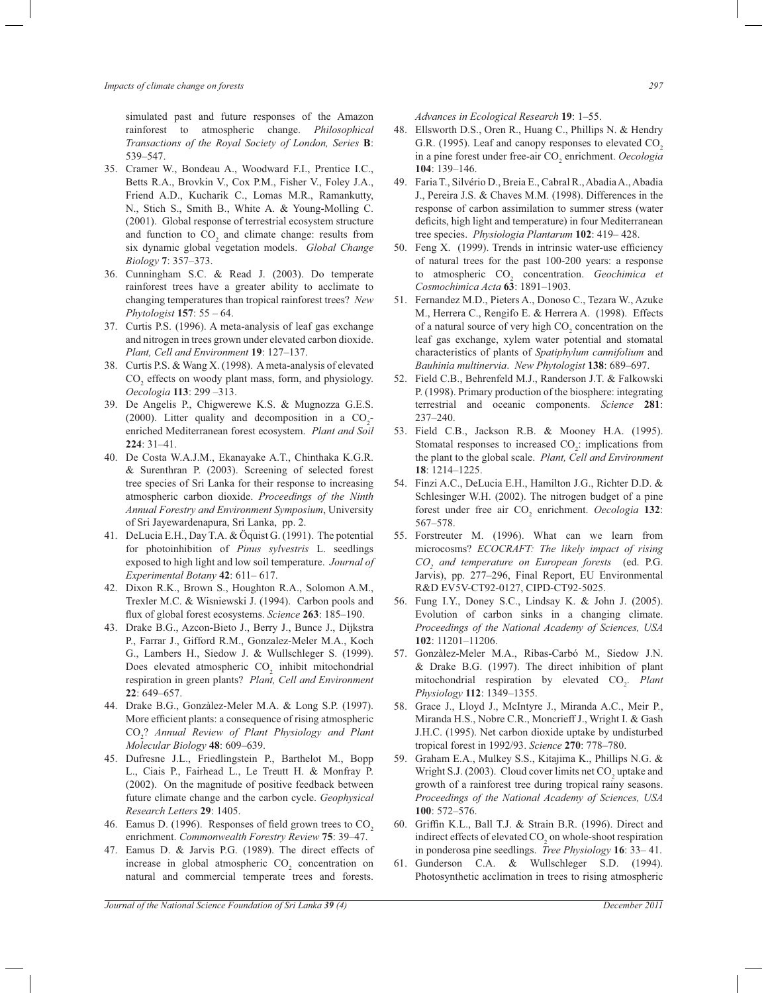simulated past and future responses of the Amazon rainforest to atmospheric change. *Philosophical Transactions of the Royal Society of London, Series* **B**: 539–547.

- 35. Cramer W., Bondeau A., Woodward F.I., Prentice I.C., Betts R.A., Brovkin V., Cox P.M., Fisher V., Foley J.A., Friend A.D., Kucharik C., Lomas M.R., Ramankutty, N., Stich S., Smith B., White A. & Young-Molling C. (2001). Global response of terrestrial ecosystem structure and function to  $CO<sub>2</sub>$  and climate change: results from six dynamic global vegetation models. *Global Change Biology* **7**: 357–373.
- 36. Cunningham S.C. & Read J. (2003). Do temperate rainforest trees have a greater ability to acclimate to changing temperatures than tropical rainforest trees? *New Phytologist* **157**: 55 – 64.
- 37. Curtis P.S. (1996). A meta-analysis of leaf gas exchange and nitrogen in trees grown under elevated carbon dioxide. *Plant, Cell and Environment* **19**: 127–137.
- 38. Curtis P.S. & Wang X. (1998). A meta-analysis of elevated  $CO<sub>2</sub>$  effects on woody plant mass, form, and physiology. *Oecologia* **113**: 299 –313.
- 39. De Angelis P., Chigwerewe K.S. & Mugnozza G.E.S. (2000). Litter quality and decomposition in a  $CO_2$ enriched Mediterranean forest ecosystem. *Plant and Soil* **224**: 31–41.
- 40. De Costa W.A.J.M., Ekanayake A.T., Chinthaka K.G.R. & Surenthran P. (2003). Screening of selected forest tree species of Sri Lanka for their response to increasing atmospheric carbon dioxide. *Proceedings of the Ninth Annual Forestry and Environment Symposium*, University of Sri Jayewardenapura, Sri Lanka, pp. 2.
- 41. DeLucia E.H., Day T.A. & Öquist G. (1991). The potential for photoinhibition of *Pinus sylvestris* L. seedlings exposed to high light and low soil temperature. *Journal of Experimental Botany* **42**: 611– 617.
- 42. Dixon R.K., Brown S., Houghton R.A., Solomon A.M., Trexler M.C. & Wisniewski J. (1994). Carbon pools and flux of global forest ecosystems. *Science* **263**: 185–190.
- 43. Drake B.G., Azcon-Bieto J., Berry J., Bunce J., Dijkstra P., Farrar J., Gifford R.M., Gonzalez-Meler M.A., Koch G., Lambers H., Siedow J. & Wullschleger S. (1999). Does elevated atmospheric  $CO<sub>2</sub>$  inhibit mitochondrial respiration in green plants? *Plant, Cell and Environment* **22**: 649–657.
- 44. Drake B.G., Gonzàlez-Meler M.A. & Long S.P. (1997). More efficient plants: a consequence of rising atmospheric CO<sup>2</sup> ? *Annual Review of Plant Physiology and Plant Molecular Biology* **48**: 609–639.
- 45. Dufresne J.L., Friedlingstein P., Barthelot M., Bopp L., Ciais P., Fairhead L., Le Treutt H. & Monfray P. (2002). On the magnitude of positive feedback between future climate change and the carbon cycle. *Geophysical Research Letters* **29**: 1405.
- 46. Eamus D. (1996). Responses of field grown trees to CO<sub>2</sub> enrichment. *Commonwealth Forestry Review* **75**: 39–47.
- 47. Eamus D. & Jarvis P.G. (1989). The direct effects of increase in global atmospheric  $CO<sub>2</sub>$  concentration on natural and commercial temperate trees and forests.

*Advances in Ecological Research* **19**: 1–55.

- 48. Ellsworth D.S., Oren R., Huang C., Phillips N. & Hendry G.R. (1995). Leaf and canopy responses to elevated CO<sub>2</sub> in a pine forest under free-air CO<sub>2</sub> enrichment. *Oecologia* **104**: 139–146.
- 49. Faria T., Silvério D., Breia E., Cabral R., Abadia A., Abadia J., Pereira J.S. & Chaves M.M. (1998). Differences in the response of carbon assimilation to summer stress (water deficits, high light and temperature) in four Mediterranean tree species. *Physiologia Plantarum* **102**: 419– 428.
- 50. Feng X. (1999). Trends in intrinsic water-use efficiency of natural trees for the past 100-200 years: a response to atmospheric CO<sub>2</sub> concentration. *Geochimica et Cosmochimica Acta* **63**: 1891–1903.
- 51. Fernandez M.D., Pieters A., Donoso C., Tezara W., Azuke M., Herrera C., Rengifo E. & Herrera A. (1998). Effects of a natural source of very high  $CO<sub>2</sub>$  concentration on the leaf gas exchange, xylem water potential and stomatal characteristics of plants of *Spatiphylum cannifolium* and *Bauhinia multinervia*. *New Phytologist* **138**: 689–697.
- 52. Field C.B., Behrenfeld M.J., Randerson J.T. & Falkowski P. (1998). Primary production of the biosphere: integrating terrestrial and oceanic components. *Science* **281**: 237–240.
- 53. Field C.B., Jackson R.B. & Mooney H.A. (1995). Stomatal responses to increased  $CO<sub>2</sub>$ : implications from the plant to the global scale. *Plant, Cell and Environment*  **18**: 1214–1225.
- 54. Finzi A.C., DeLucia E.H., Hamilton J.G., Richter D.D. & Schlesinger W.H. (2002). The nitrogen budget of a pine forest under free air CO<sub>2</sub> enrichment. *Oecologia* **132**: 567–578.
- 55. Forstreuter M. (1996). What can we learn from microcosms? *ECOCRAFT: The likely impact of rising CO<sup>2</sup> and temperature on European forests* (ed. P.G. Jarvis), pp. 277–296, Final Report, EU Environmental R&D EV5V-CT92-0127, CIPD-CT92-5025.
- 56. Fung I.Y., Doney S.C., Lindsay K. & John J. (2005). Evolution of carbon sinks in a changing climate. *Proceedings of the National Academy of Sciences, USA*  **102**: 11201–11206.
- 57. Gonzàlez-Meler M.A., Ribas-Carbó M., Siedow J.N. & Drake B.G. (1997). The direct inhibition of plant mitochondrial respiration by elevated CO<sub>2</sub>. Plant *Physiology* **112**: 1349–1355.
- 58. Grace J., Lloyd J., McIntyre J., Miranda A.C., Meir P., Miranda H.S., Nobre C.R., Moncrieff J., Wright I. & Gash J.H.C. (1995). Net carbon dioxide uptake by undisturbed tropical forest in 1992/93. *Science* **270**: 778–780.
- 59. Graham E.A., Mulkey S.S., Kitajima K., Phillips N.G. & Wright S.J. (2003). Cloud cover limits net  $CO<sub>2</sub>$  uptake and growth of a rainforest tree during tropical rainy seasons. *Proceedings of the National Academy of Sciences, USA*  **100**: 572–576.
- 60. Griffin K.L., Ball T.J. & Strain B.R. (1996). Direct and indirect effects of elevated  $CO<sub>2</sub>$  on whole-shoot respiration in ponderosa pine seedlings. *Tree Physiology* **16**: 33– 41.
- 61. Gunderson C.A. & Wullschleger S.D. (1994). Photosynthetic acclimation in trees to rising atmospheric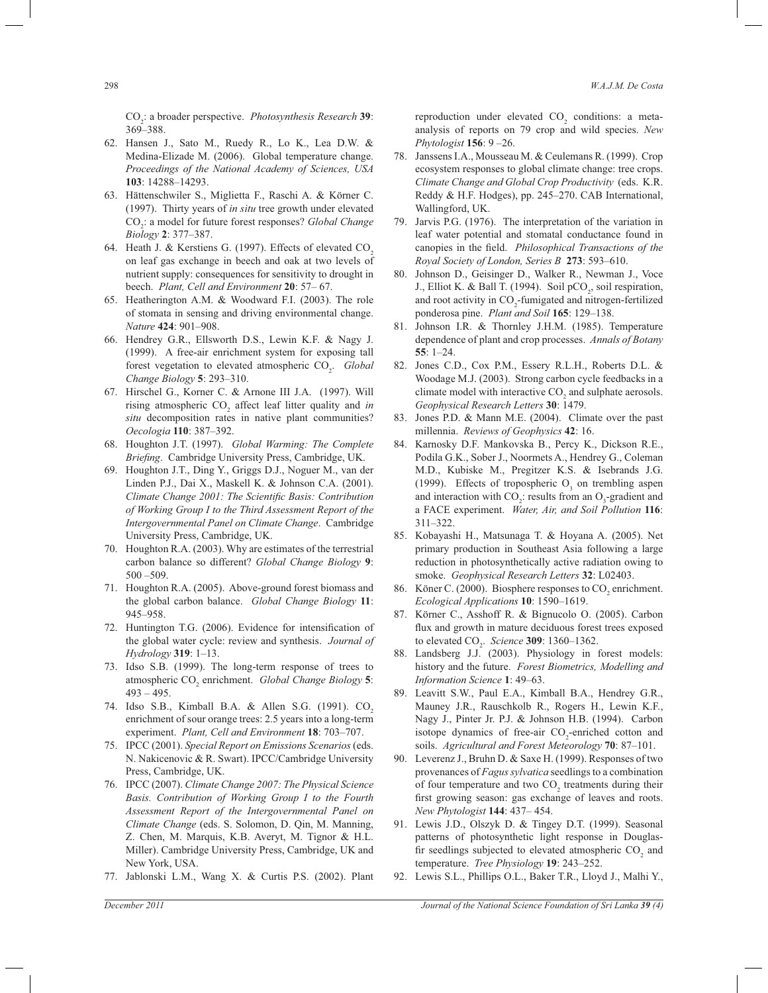CO<sup>2</sup> : a broader perspective. *Photosynthesis Research* **39**: 369–388.

- 62. Hansen J., Sato M., Ruedy R., Lo K., Lea D.W. & Medina-Elizade M. (2006). Global temperature change. *Proceedings of the National Academy of Sciences, USA*  **103**: 14288–14293.
- 63. Hättenschwiler S., Miglietta F., Raschi A. & Körner C. (1997). Thirty years of *in situ* tree growth under elevated CO<sup>2</sup> : a model for future forest responses? *Global Change Biology* **2**: 377–387.
- 64. Heath J. & Kerstiens G. (1997). Effects of elevated CO<sub>2</sub> on leaf gas exchange in beech and oak at two levels of nutrient supply: consequences for sensitivity to drought in beech. *Plant, Cell and Environment* **20**: 57– 67.
- 65. Heatherington A.M. & Woodward F.I. (2003). The role of stomata in sensing and driving environmental change. *Nature* **424**: 901–908.
- 66. Hendrey G.R., Ellsworth D.S., Lewin K.F. & Nagy J. (1999). A free-air enrichment system for exposing tall forest vegetation to elevated atmospheric CO<sub>2</sub>. *Global Change Biology* **5**: 293–310.
- 67. Hirschel G., Korner C. & Arnone III J.A. (1997). Will rising atmospheric CO<sub>2</sub> affect leaf litter quality and *in situ* decomposition rates in native plant communities? *Oecologia* **110**: 387–392.
- 68. Houghton J.T. (1997). *Global Warming: The Complete Briefing*. Cambridge University Press, Cambridge, UK.
- 69. Houghton J.T., Ding Y., Griggs D.J., Noguer M., van der Linden P.J., Dai X., Maskell K. & Johnson C.A. (2001). *Climate Change 2001: The Scientific Basis: Contribution of Working Group I to the Third Assessment Report of the Intergovernmental Panel on Climate Change*. Cambridge University Press, Cambridge, UK.
- 70. Houghton R.A. (2003). Why are estimates of the terrestrial carbon balance so different? *Global Change Biology* **9**: 500 –509.
- 71. Houghton R.A. (2005). Above-ground forest biomass and the global carbon balance. *Global Change Biology* **11**: 945–958.
- 72. Huntington T.G. (2006). Evidence for intensification of the global water cycle: review and synthesis. *Journal of Hydrology* **319**: 1–13.
- 73. Idso S.B. (1999). The long-term response of trees to atmospheric CO<sub>2</sub> enrichment. *Global Change Biology* 5:  $493 - 495$ .
- 74. Idso S.B., Kimball B.A. & Allen S.G. (1991). CO<sub>2</sub> enrichment of sour orange trees: 2.5 years into a long-term experiment. *Plant, Cell and Environment* **18**: 703–707.
- 75. IPCC (2001). *Special Report on Emissions Scenarios* (eds. N. Nakicenovic & R. Swart). IPCC/Cambridge University Press, Cambridge, UK.
- 76. IPCC (2007). *Climate Change 2007: The Physical Science Basis. Contribution of Working Group I to the Fourth Assessment Report of the Intergovernmental Panel on Climate Change* (eds. S. Solomon, D. Qin, M. Manning, Z. Chen, M. Marquis, K.B. Averyt, M. Tignor & H.L. Miller). Cambridge University Press, Cambridge, UK and New York, USA.
- 77. Jablonski L.M., Wang X. & Curtis P.S. (2002). Plant

reproduction under elevated  $CO<sub>2</sub>$  conditions: a metaanalysis of reports on 79 crop and wild species. *New Phytologist* **156**: 9 –26.

- 78. Janssens I.A., Mousseau M. & Ceulemans R. (1999). Crop ecosystem responses to global climate change: tree crops. *Climate Change and Global Crop Productivity* (eds. K.R. Reddy & H.F. Hodges), pp. 245–270. CAB International, Wallingford, UK.
- 79. Jarvis P.G. (1976). The interpretation of the variation in leaf water potential and stomatal conductance found in canopies in the field. *Philosophical Transactions of the Royal Society of London, Series B* **273**: 593–610.
- 80. Johnson D., Geisinger D., Walker R., Newman J., Voce J., Elliot K. & Ball T. (1994). Soil  $pCO_2$ , soil respiration, and root activity in  $CO_2$ -fumigated and nitrogen-fertilized ponderosa pine. *Plant and Soil* **165**: 129–138.
- 81. Johnson I.R. & Thornley J.H.M. (1985). Temperature dependence of plant and crop processes. *Annals of Botany*  **55**: 1–24.
- 82. Jones C.D., Cox P.M., Essery R.L.H., Roberts D.L. & Woodage M.J. (2003). Strong carbon cycle feedbacks in a climate model with interactive  $CO<sub>2</sub>$  and sulphate aerosols. *Geophysical Research Letters* **30**: 1479.
- 83. Jones P.D. & Mann M.E. (2004). Climate over the past millennia. *Reviews of Geophysics* **42**: 16.
- 84. Karnosky D.F. Mankovska B., Percy K., Dickson R.E., Podila G.K., Sober J., Noormets A., Hendrey G., Coleman M.D., Kubiske M., Pregitzer K.S. & Isebrands J.G. (1999). Effects of tropospheric  $O_3$  on trembling aspen and interaction with  $CO_2$ : results from an  $O_3$ -gradient and a FACE experiment. *Water, Air, and Soil Pollution* **116**: 311–322.
- 85. Kobayashi H., Matsunaga T. & Hoyana A. (2005). Net primary production in Southeast Asia following a large reduction in photosynthetically active radiation owing to smoke. *Geophysical Research Letters* **32**: L02403.
- 86. Köner C. (2000). Biosphere responses to  $CO_2$  enrichment. *Ecological Applications* **10**: 1590–1619.
- 87. Körner C., Asshoff R. & Bignucolo O. (2005). Carbon flux and growth in mature deciduous forest trees exposed to elevated CO<sup>2</sup> . *Science* **309**: 1360–1362.
- 88. Landsberg J.J. (2003). Physiology in forest models: history and the future. *Forest Biometrics, Modelling and Information Science* **1**: 49–63.
- 89. Leavitt S.W., Paul E.A., Kimball B.A., Hendrey G.R., Mauney J.R., Rauschkolb R., Rogers H., Lewin K.F., Nagy J., Pinter Jr. P.J. & Johnson H.B. (1994). Carbon isotope dynamics of free-air  $CO_2$ -enriched cotton and soils. *Agricultural and Forest Meteorology* **70**: 87–101.
- 90. Leverenz J., Bruhn D. & Saxe H. (1999). Responses of two provenances of *Fagus sylvatica* seedlings to a combination of four temperature and two  $CO<sub>2</sub>$  treatments during their first growing season: gas exchange of leaves and roots. *New Phytologist* **144**: 437– 454.
- 91. Lewis J.D., Olszyk D. & Tingey D.T. (1999). Seasonal patterns of photosynthetic light response in Douglasfir seedlings subjected to elevated atmospheric  $CO<sub>2</sub>$  and temperature. *Tree Physiology* **19**: 243–252.
- 92. Lewis S.L., Phillips O.L., Baker T.R., Lloyd J., Malhi Y.,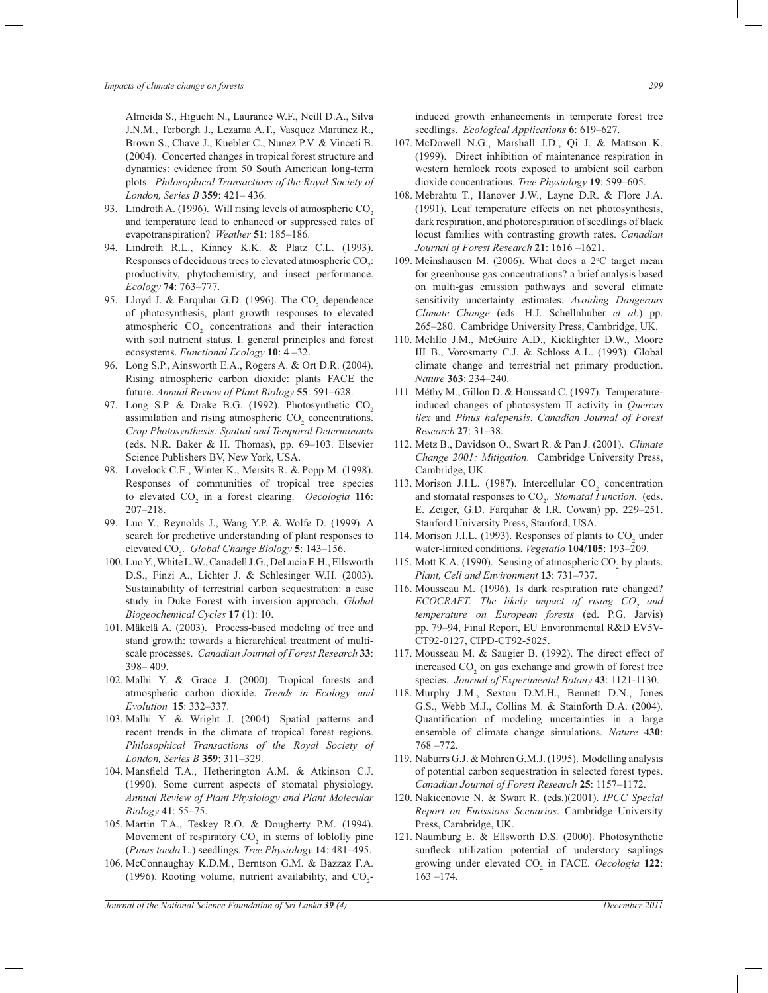Almeida S., Higuchi N., Laurance W.F., Neill D.A., Silva J.N.M., Terborgh J., Lezama A.T., Vasquez Martinez R., Brown S., Chave J., Kuebler C., Nunez P.V. & Vinceti B. (2004). Concerted changes in tropical forest structure and dynamics: evidence from 50 South American long-term plots. *Philosophical Transactions of the Royal Society of London, Series B* **359**: 421– 436.

- 93. Lindroth A. (1996). Will rising levels of atmospheric CO<sub>2</sub> and temperature lead to enhanced or suppressed rates of evapotranspiration? *Weather* **51**: 185–186.
- 94. Lindroth R.L., Kinney K.K. & Platz C.L. (1993). Responses of deciduous trees to elevated atmospheric  $CO_2$ : productivity, phytochemistry, and insect performance. *Ecology* **74**: 763–777.
- 95. Lloyd J. & Farquhar G.D. (1996). The  $CO<sub>2</sub>$  dependence of photosynthesis, plant growth responses to elevated atmospheric  $CO<sub>2</sub>$  concentrations and their interaction with soil nutrient status. I. general principles and forest ecosystems. *Functional Ecology* **10**: 4 –32.
- 96. Long S.P., Ainsworth E.A., Rogers A. & Ort D.R. (2004). Rising atmospheric carbon dioxide: plants FACE the future. *Annual Review of Plant Biology* **55**: 591–628.
- 97. Long S.P. & Drake B.G. (1992). Photosynthetic CO<sub>2</sub> assimilation and rising atmospheric  $CO<sub>2</sub>$  concentrations. *Crop Photosynthesis: Spatial and Temporal Determinants* (eds. N.R. Baker & H. Thomas), pp. 69–103. Elsevier Science Publishers BV, New York, USA.
- 98. Lovelock C.E., Winter K., Mersits R. & Popp M. (1998). Responses of communities of tropical tree species to elevated CO<sub>2</sub> in a forest clearing. *Oecologia* 116: 207–218.
- 99. Luo Y., Reynolds J., Wang Y.P. & Wolfe D. (1999). A search for predictive understanding of plant responses to elevated CO<sup>2</sup> . *Global Change Biology* **5**: 143–156.
- 100. Luo Y., White L.W., Canadell J.G., DeLucia E.H., Ellsworth D.S., Finzi A., Lichter J. & Schlesinger W.H. (2003). Sustainability of terrestrial carbon sequestration: a case study in Duke Forest with inversion approach. *Global Biogeochemical Cycles* **17** (1): 10.
- 101. Mäkelä A. (2003). Process-based modeling of tree and stand growth: towards a hierarchical treatment of multiscale processes. *Canadian Journal of Forest Research* **33**: 398– 409.
- 102. Malhi Y. & Grace J. (2000). Tropical forests and atmospheric carbon dioxide. *Trends in Ecology and Evolution* **15**: 332–337.
- 103. Malhi Y. & Wright J. (2004). Spatial patterns and recent trends in the climate of tropical forest regions. *Philosophical Transactions of the Royal Society of London, Series B* **359**: 311–329.
- 104. Mansfield T.A., Hetherington A.M. & Atkinson C.J. (1990). Some current aspects of stomatal physiology. *Annual Review of Plant Physiology and Plant Molecular Biology* **41**: 55–75.
- 105. Martin T.A., Teskey R.O. & Dougherty P.M. (1994). Movement of respiratory  $CO<sub>2</sub>$  in stems of loblolly pine (*Pinus taeda* L.) seedlings. *Tree Physiology* **14**: 481–495.
- 106. McConnaughay K.D.M., Berntson G.M. & Bazzaz F.A. (1996). Rooting volume, nutrient availability, and  $CO_2$ -

induced growth enhancements in temperate forest tree seedlings. *Ecological Applications* **6**: 619–627.

- 107. McDowell N.G., Marshall J.D., Qi J. & Mattson K. (1999). Direct inhibition of maintenance respiration in western hemlock roots exposed to ambient soil carbon dioxide concentrations. *Tree Physiology* **19**: 599–605.
- 108. Mebrahtu T., Hanover J.W., Layne D.R. & Flore J.A. (1991). Leaf temperature effects on net photosynthesis, dark respiration, and photorespiration of seedlings of black locust families with contrasting growth rates. *Canadian Journal of Forest Research* **21**: 1616 –1621.
- 109. Meinshausen M. (2006). What does a 2°C target mean for greenhouse gas concentrations? a brief analysis based on multi-gas emission pathways and several climate sensitivity uncertainty estimates. *Avoiding Dangerous Climate Change* (eds. H.J. Schellnhuber *et al*.) pp. 265–280. Cambridge University Press, Cambridge, UK.
- 110. Melillo J.M., McGuire A.D., Kicklighter D.W., Moore III B., Vorosmarty C.J. & Schloss A.L. (1993). Global climate change and terrestrial net primary production. *Nature* **363**: 234–240.
- 111. Méthy M., Gillon D. & Houssard C. (1997). Temperatureinduced changes of photosystem II activity in *Quercus ilex* and *Pinus halepensis*. *Canadian Journal of Forest Research* **27**: 31–38.
- 112. Metz B., Davidson O., Swart R. & Pan J. (2001). *Climate Change 2001: Mitigation*. Cambridge University Press, Cambridge, UK.
- 113. Morison J.I.L. (1987). Intercellular  $CO<sub>2</sub>$  concentration and stomatal responses to  $CO<sub>2</sub>$ . *Stomatal Function*. (eds. E. Zeiger, G.D. Farquhar & I.R. Cowan) pp. 229–251. Stanford University Press, Stanford, USA.
- 114. Morison J.I.L. (1993). Responses of plants to  $CO<sub>2</sub>$  under water-limited conditions. *Vegetatio* **104/105**: 193–209.
- 115. Mott K.A. (1990). Sensing of atmospheric  $CO_2$  by plants. *Plant, Cell and Environment* **13**: 731–737.
- 116. Mousseau M. (1996). Is dark respiration rate changed? *ECOCRAFT: The likely impact of rising CO<sup>2</sup> and temperature on European forests* (ed. P.G. Jarvis) pp. 79–94, Final Report, EU Environmental R&D EV5V-CT92-0127, CIPD-CT92-5025.
- 117. Mousseau M. & Saugier B. (1992). The direct effect of increased  $CO<sub>2</sub>$  on gas exchange and growth of forest tree species. *Journal of Experimental Botany* **43**: 1121-1130.
- 118. Murphy J.M., Sexton D.M.H., Bennett D.N., Jones G.S., Webb M.J., Collins M. & Stainforth D.A. (2004). Quantification of modeling uncertainties in a large ensemble of climate change simulations. *Nature* **430**: 768 –772.
- 119. Naburrs G.J. & Mohren G.M.J. (1995). Modelling analysis of potential carbon sequestration in selected forest types. *Canadian Journal of Forest Research* **25**: 1157–1172.
- 120. Nakicenovic N. & Swart R. (eds.)(2001). *IPCC Special Report on Emissions Scenarios*. Cambridge University Press, Cambridge, UK.
- 121. Naumburg E. & Ellsworth D.S. (2000). Photosynthetic sunfleck utilization potential of understory saplings growing under elevated CO<sub>2</sub> in FACE. *Oecologia* 122: 163 –174.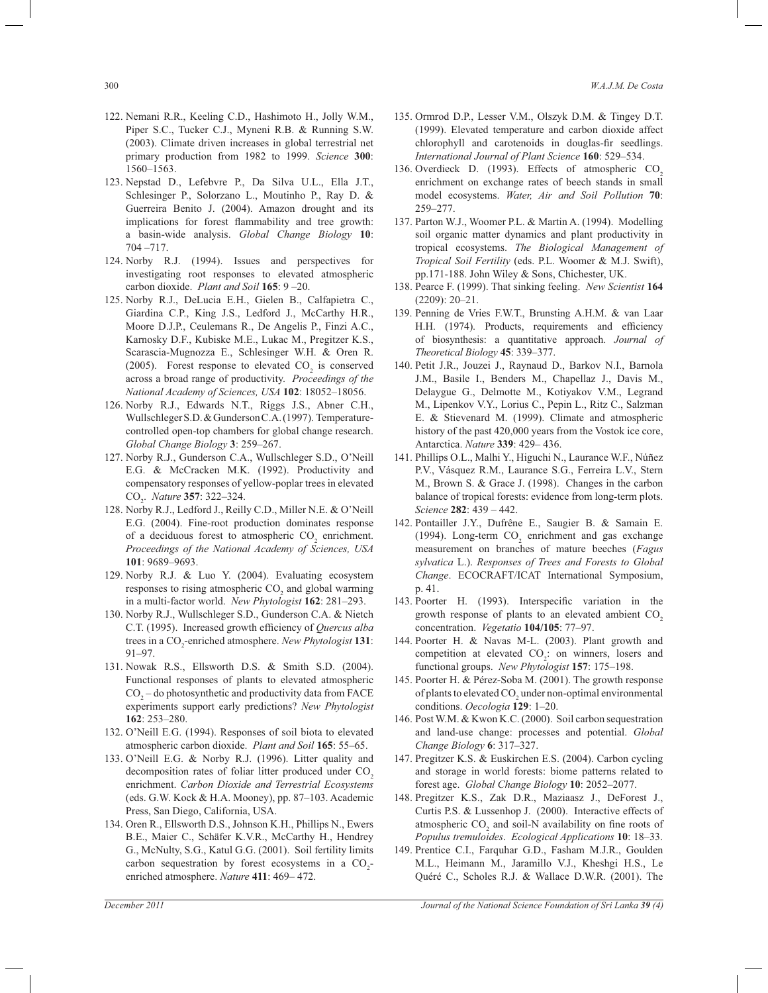- 122. Nemani R.R., Keeling C.D., Hashimoto H., Jolly W.M., Piper S.C., Tucker C.J., Myneni R.B. & Running S.W. (2003). Climate driven increases in global terrestrial net primary production from 1982 to 1999. *Science* **300**: 1560–1563.
- 123. Nepstad D., Lefebvre P., Da Silva U.L., Ella J.T., Schlesinger P., Solorzano L., Moutinho P., Ray D. & Guerreira Benito J. (2004). Amazon drought and its implications for forest flammability and tree growth: a basin-wide analysis. *Global Change Biology* **10**: 704 –717.
- 124. Norby R.J. (1994). Issues and perspectives for investigating root responses to elevated atmospheric carbon dioxide. *Plant and Soil* **165**: 9 –20.
- 125. Norby R.J., DeLucia E.H., Gielen B., Calfapietra C., Giardina C.P., King J.S., Ledford J., McCarthy H.R., Moore D.J.P., Ceulemans R., De Angelis P., Finzi A.C., Karnosky D.F., Kubiske M.E., Lukac M., Pregitzer K.S., Scarascia-Mugnozza E., Schlesinger W.H. & Oren R. (2005). Forest response to elevated  $CO<sub>2</sub>$  is conserved across a broad range of productivity. *Proceedings of the National Academy of Sciences, USA* **102**: 18052–18056.
- 126. Norby R.J., Edwards N.T., Riggs J.S., Abner C.H., Wullschleger S.D. & Gunderson C.A. (1997). Temperaturecontrolled open-top chambers for global change research. *Global Change Biology* **3**: 259–267.
- 127. Norby R.J., Gunderson C.A., Wullschleger S.D., O'Neill E.G. & McCracken M.K. (1992). Productivity and compensatory responses of yellow-poplar trees in elevated CO<sup>2</sup> . *Nature* **357**: 322–324.
- 128. Norby R.J., Ledford J., Reilly C.D., Miller N.E. & O'Neill E.G. (2004). Fine-root production dominates response of a deciduous forest to atmospheric  $CO<sub>2</sub>$  enrichment. *Proceedings of the National Academy of Sciences, USA*  **101**: 9689–9693.
- 129. Norby R.J. & Luo Y. (2004). Evaluating ecosystem responses to rising atmospheric  $CO<sub>2</sub>$  and global warming in a multi-factor world. *New Phytologist* **162**: 281–293.
- 130. Norby R.J., Wullschleger S.D., Gunderson C.A. & Nietch C.T. (1995). Increased growth efficiency of *Quercus alba*  trees in a CO<sub>2</sub>-enriched atmosphere. *New Phytologist* **131**: 91–97.
- 131. Nowak R.S., Ellsworth D.S. & Smith S.D. (2004). Functional responses of plants to elevated atmospheric  $CO<sub>2</sub>$  – do photosynthetic and productivity data from FACE experiments support early predictions? *New Phytologist*  **162**: 253–280.
- 132. O'Neill E.G. (1994). Responses of soil biota to elevated atmospheric carbon dioxide. *Plant and Soil* **165**: 55–65.
- 133. O'Neill E.G. & Norby R.J. (1996). Litter quality and decomposition rates of foliar litter produced under CO<sub>2</sub> enrichment. *Carbon Dioxide and Terrestrial Ecosystems* (eds. G.W. Kock & H.A. Mooney), pp. 87–103. Academic Press, San Diego, California, USA.
- 134. Oren R., Ellsworth D.S., Johnson K.H., Phillips N., Ewers B.E., Maier C., Schäfer K.V.R., McCarthy H., Hendrey G., McNulty, S.G., Katul G.G. (2001). Soil fertility limits carbon sequestration by forest ecosystems in a  $CO_2$ enriched atmosphere. *Nature* **411**: 469– 472.
- 135. Ormrod D.P., Lesser V.M., Olszyk D.M. & Tingey D.T. (1999). Elevated temperature and carbon dioxide affect chlorophyll and carotenoids in douglas-fir seedlings. *International Journal of Plant Science* **160**: 529–534.
- 136. Overdieck D. (1993). Effects of atmospheric CO<sub>2</sub> enrichment on exchange rates of beech stands in small model ecosystems. *Water, Air and Soil Pollution* **70**: 259–277.
- 137. Parton W.J., Woomer P.L. & Martin A. (1994). Modelling soil organic matter dynamics and plant productivity in tropical ecosystems. *The Biological Management of Tropical Soil Fertility* (eds. P.L. Woomer & M.J. Swift), pp.171-188. John Wiley & Sons, Chichester, UK.
- 138. Pearce F. (1999). That sinking feeling. *New Scientist* **164**  (2209): 20–21.
- 139. Penning de Vries F.W.T., Brunsting A.H.M. & van Laar H.H. (1974). Products, requirements and efficiency of biosynthesis: a quantitative approach. *Journal of Theoretical Biology* **45**: 339–377.
- 140. Petit J.R., Jouzei J., Raynaud D., Barkov N.I., Barnola J.M., Basile I., Benders M., Chapellaz J., Davis M., Delaygue G., Delmotte M., Kotiyakov V.M., Legrand M., Lipenkov V.Y., Lorius C., Pepin L., Ritz C., Salzman E. & Stievenard M. (1999). Climate and atmospheric history of the past 420,000 years from the Vostok ice core, Antarctica. *Nature* **339**: 429– 436.
- 141. Phillips O.L., Malhi Y., Higuchi N., Laurance W.F., Núñez P.V., Vásquez R.M., Laurance S.G., Ferreira L.V., Stern M., Brown S. & Grace J. (1998). Changes in the carbon balance of tropical forests: evidence from long-term plots. *Science* **282**: 439 – 442.
- 142. Pontailler J.Y., Dufrêne E., Saugier B. & Samain E. (1994). Long-term  $CO_2$  enrichment and gas exchange measurement on branches of mature beeches (*Fagus sylvatica* L.). *Responses of Trees and Forests to Global Change*. ECOCRAFT/ICAT International Symposium, p. 41.
- 143. Poorter H. (1993). Interspecific variation in the growth response of plants to an elevated ambient  $CO<sub>2</sub>$ concentration. *Vegetatio* **104/105**: 77–97.
- 144. Poorter H. & Navas M-L. (2003). Plant growth and competition at elevated  $CO_2$ : on winners, losers and functional groups. *New Phytologist* **157**: 175–198.
- 145. Poorter H. & Pérez-Soba M. (2001). The growth response of plants to elevated  $\mathrm{CO}_2$  under non-optimal environmental conditions. *Oecologia* **129**: 1–20.
- 146. Post W.M. & Kwon K.C. (2000). Soil carbon sequestration and land-use change: processes and potential. *Global Change Biology* **6**: 317–327.
- 147. Pregitzer K.S. & Euskirchen E.S. (2004). Carbon cycling and storage in world forests: biome patterns related to forest age. *Global Change Biology* **10**: 2052–2077.
- 148. Pregitzer K.S., Zak D.R., Maziaasz J., DeForest J., Curtis P.S. & Lussenhop J. (2000). Interactive effects of atmospheric  $CO_2$  and soil-N availability on fine roots of *Populus tremuloides*. *Ecological Applications* **10**: 18–33.
- 149. Prentice C.I., Farquhar G.D., Fasham M.J.R., Goulden M.L., Heimann M., Jaramillo V.J., Kheshgi H.S., Le Quéré C., Scholes R.J. & Wallace D.W.R. (2001). The

*December 2011 Journal of the National Science Foundation of Sri Lanka 39 (4)*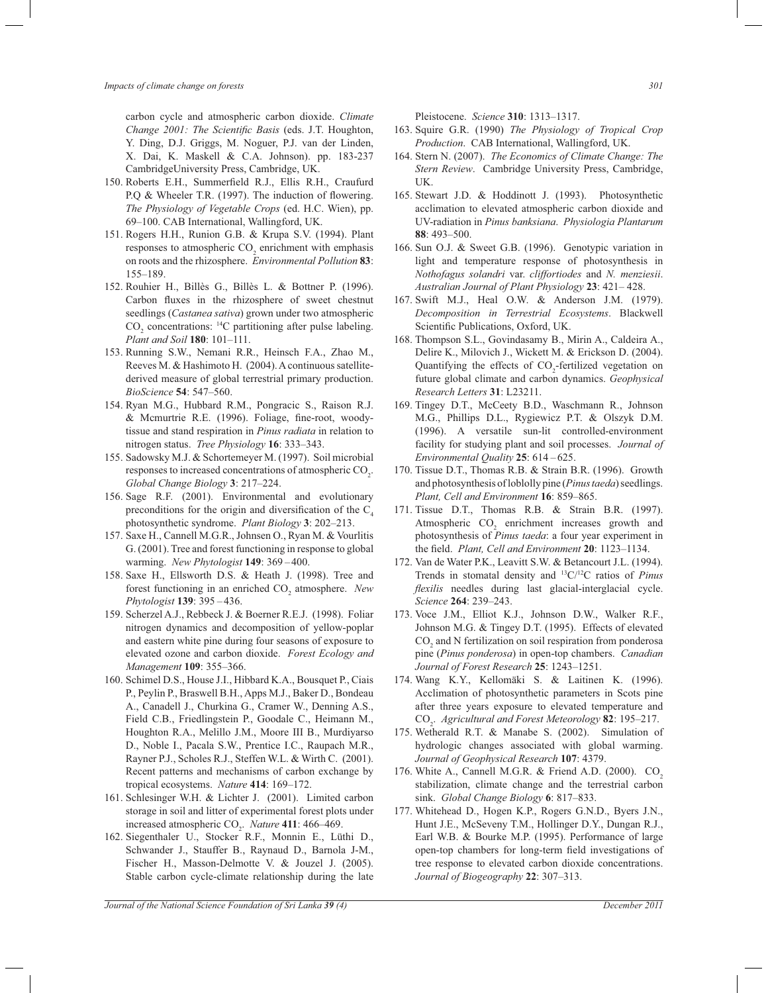carbon cycle and atmospheric carbon dioxide. *Climate Change 2001: The Scientific Basis* (eds. J.T. Houghton, Y. Ding, D.J. Griggs, M. Noguer, P.J. van der Linden, X. Dai, K. Maskell & C.A. Johnson). pp. 183-237 CambridgeUniversity Press, Cambridge, UK.

- 150. Roberts E.H., Summerfield R.J., Ellis R.H., Craufurd P.O & Wheeler T.R. (1997). The induction of flowering. *The Physiology of Vegetable Crops* (ed. H.C. Wien), pp. 69–100. CAB International, Wallingford, UK.
- 151. Rogers H.H., Runion G.B. & Krupa S.V. (1994). Plant responses to atmospheric  $CO<sub>2</sub>$  enrichment with emphasis on roots and the rhizosphere. *Environmental Pollution* **83**: 155–189.
- 152. Rouhier H., Billès G., Billès L. & Bottner P. (1996). Carbon fluxes in the rhizosphere of sweet chestnut seedlings (*Castanea sativa*) grown under two atmospheric  $CO<sub>2</sub>$  concentrations: <sup>14</sup>C partitioning after pulse labeling. *Plant and Soil* **180**: 101–111.
- 153. Running S.W., Nemani R.R., Heinsch F.A., Zhao M., Reeves M. & Hashimoto H. (2004). A continuous satellitederived measure of global terrestrial primary production. *BioScience* **54**: 547–560.
- 154. Ryan M.G., Hubbard R.M., Pongracic S., Raison R.J. & Mcmurtrie R.E. (1996). Foliage, fine-root, woodytissue and stand respiration in *Pinus radiata* in relation to nitrogen status. *Tree Physiology* **16**: 333–343.
- 155. Sadowsky M.J. & Schortemeyer M. (1997). Soil microbial responses to increased concentrations of atmospheric  $\mathrm{CO}_2$ . *Global Change Biology* **3**: 217–224.
- 156. Sage R.F. (2001). Environmental and evolutionary preconditions for the origin and diversification of the  $C_4$ photosynthetic syndrome. *Plant Biology* **3**: 202–213.
- 157. Saxe H., Cannell M.G.R., Johnsen O., Ryan M. & Vourlitis G. (2001). Tree and forest functioning in response to global warming. *New Phytologist* **149**: 369 – 400.
- 158. Saxe H., Ellsworth D.S. & Heath J. (1998). Tree and forest functioning in an enriched CO<sub>2</sub> atmosphere. New *Phytologist* **139**: 395 – 436.
- 159. Scherzel A.J., Rebbeck J. & Boerner R.E.J. (1998). Foliar nitrogen dynamics and decomposition of yellow-poplar and eastern white pine during four seasons of exposure to elevated ozone and carbon dioxide. *Forest Ecology and Management* **109**: 355–366.
- 160. Schimel D.S., House J.I., Hibbard K.A., Bousquet P., Ciais P., Peylin P., Braswell B.H., Apps M.J., Baker D., Bondeau A., Canadell J., Churkina G., Cramer W., Denning A.S., Field C.B., Friedlingstein P., Goodale C., Heimann M., Houghton R.A., Melillo J.M., Moore III B., Murdiyarso D., Noble I., Pacala S.W., Prentice I.C., Raupach M.R., Rayner P.J., Scholes R.J., Steffen W.L. & Wirth C. (2001). Recent patterns and mechanisms of carbon exchange by tropical ecosystems. *Nature* **414**: 169–172.
- 161. Schlesinger W.H. & Lichter J. (2001). Limited carbon storage in soil and litter of experimental forest plots under increased atmospheric CO<sub>2</sub>. *Nature* **411**: 466–469.
- 162. Siegenthaler U., Stocker R.F., Monnin E., Lüthi D., Schwander J., Stauffer B., Raynaud D., Barnola J-M., Fischer H., Masson-Delmotte V. & Jouzel J. (2005). Stable carbon cycle-climate relationship during the late

Pleistocene. *Science* **310**: 1313–1317.

- 163. Squire G.R. (1990) *The Physiology of Tropical Crop Production*. CAB International, Wallingford, UK.
- 164. Stern N. (2007). *The Economics of Climate Change: The Stern Review*. Cambridge University Press, Cambridge, UK.
- 165. Stewart J.D. & Hoddinott J. (1993). Photosynthetic acclimation to elevated atmospheric carbon dioxide and UV-radiation in *Pinus banksiana*. *Physiologia Plantarum*  **88**: 493–500.
- 166. Sun O.J. & Sweet G.B. (1996). Genotypic variation in light and temperature response of photosynthesis in *Nothofagus solandri* var. *cliffortiodes* and *N. menziesii*. *Australian Journal of Plant Physiology* **23**: 421– 428.
- 167. Swift M.J., Heal O.W. & Anderson J.M. (1979). *Decomposition in Terrestrial Ecosystems*. Blackwell Scientific Publications, Oxford, UK.
- 168. Thompson S.L., Govindasamy B., Mirin A., Caldeira A., Delire K., Milovich J., Wickett M. & Erickson D. (2004). Quantifying the effects of  $CO_2$ -fertilized vegetation on future global climate and carbon dynamics. *Geophysical Research Letters* **31**: L23211.
- 169. Tingey D.T., McCeety B.D., Waschmann R., Johnson M.G., Phillips D.L., Rygiewicz P.T. & Olszyk D.M. (1996). A versatile sun-lit controlled-environment facility for studying plant and soil processes. *Journal of Environmental Quality* **25**: 614 – 625.
- 170. Tissue D.T., Thomas R.B. & Strain B.R. (1996). Growth and photosynthesis of loblolly pine (*Pinus taeda*) seedlings. *Plant, Cell and Environment* **16**: 859–865.
- 171. Tissue D.T., Thomas R.B. & Strain B.R. (1997). Atmospheric  $CO<sub>2</sub>$  enrichment increases growth and photosynthesis of *Pinus taeda*: a four year experiment in the field. *Plant, Cell and Environment* **20**: 1123–1134.
- 172. Van de Water P.K., Leavitt S.W. & Betancourt J.L. (1994). Trends in stomatal density and <sup>13</sup>C/<sup>12</sup>C ratios of *Pinus flexilis* needles during last glacial-interglacial cycle. *Science* **264**: 239–243.
- 173. Voce J.M., Elliot K.J., Johnson D.W., Walker R.F., Johnson M.G. & Tingey D.T. (1995). Effects of elevated  $\mathrm{CO}_2$  and N fertilization on soil respiration from ponderosa pine (*Pinus ponderosa*) in open-top chambers. *Canadian Journal of Forest Research* **25**: 1243–1251.
- 174. Wang K.Y., Kellomäki S. & Laitinen K. (1996). Acclimation of photosynthetic parameters in Scots pine after three years exposure to elevated temperature and CO<sup>2</sup> . *Agricultural and Forest Meteorology* **82**: 195–217.
- 175. Wetherald R.T. & Manabe S. (2002). Simulation of hydrologic changes associated with global warming. *Journal of Geophysical Research* **107**: 4379.
- 176. White A., Cannell M.G.R. & Friend A.D. (2000). CO<sub>2</sub> stabilization, climate change and the terrestrial carbon sink. *Global Change Biology* **6**: 817–833.
- 177. Whitehead D., Hogen K.P., Rogers G.N.D., Byers J.N., Hunt J.E., McSeveny T.M., Hollinger D.Y., Dungan R.J., Earl W.B. & Bourke M.P. (1995). Performance of large open-top chambers for long-term field investigations of tree response to elevated carbon dioxide concentrations. *Journal of Biogeography* **22**: 307–313.

*Journal of the National Science Foundation of Sri Lanka 39 (4) December 2011*